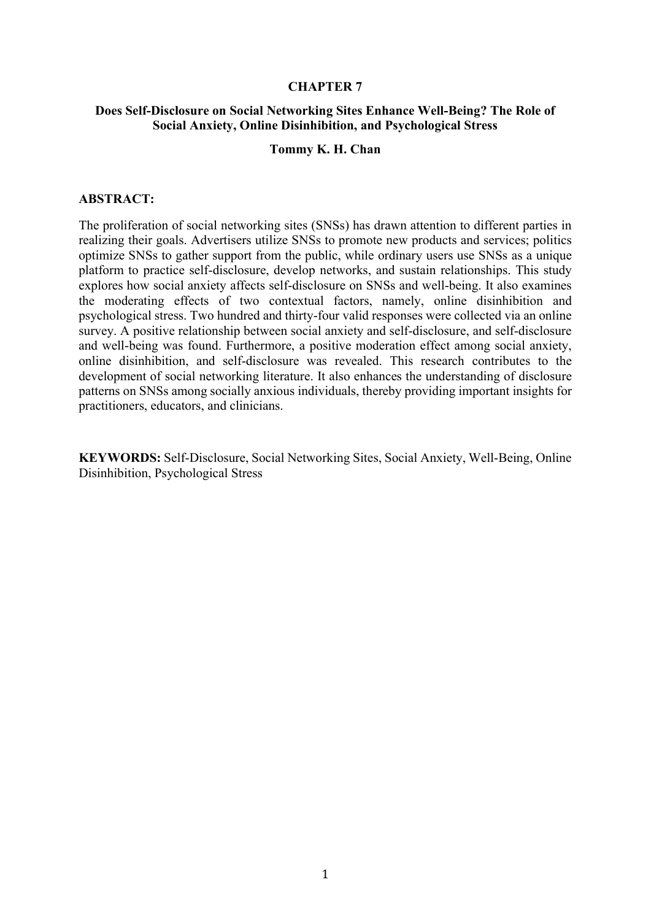#### CHAPTER 7

#### Does Self-Disclosure on Social Networking Sites Enhance Well-Being? The Role of Social Anxiety, Online Disinhibition, and Psychological Stress

#### Tommy K. H. Chan

#### ABSTRACT:

The proliferation of social networking sites (SNSs) has drawn attention to different parties in realizing their goals. Advertisers utilize SNSs to promote new products and services; politics optimize SNSs to gather support from the public, while ordinary users use SNSs as a unique platform to practice self-disclosure, develop networks, and sustain relationships. This study explores how social anxiety affects self-disclosure on SNSs and well-being. It also examines the moderating effects of two contextual factors, namely, online disinhibition and psychological stress. Two hundred and thirty-four valid responses were collected via an online survey. A positive relationship between social anxiety and self-disclosure, and self-disclosure and well-being was found. Furthermore, a positive moderation effect among social anxiety, online disinhibition, and self-disclosure was revealed. This research contributes to the development of social networking literature. It also enhances the understanding of disclosure patterns on SNSs among socially anxious individuals, thereby providing important insights for practitioners, educators, and clinicians.

KEYWORDS: Self-Disclosure, Social Networking Sites, Social Anxiety, Well-Being, Online Disinhibition, Psychological Stress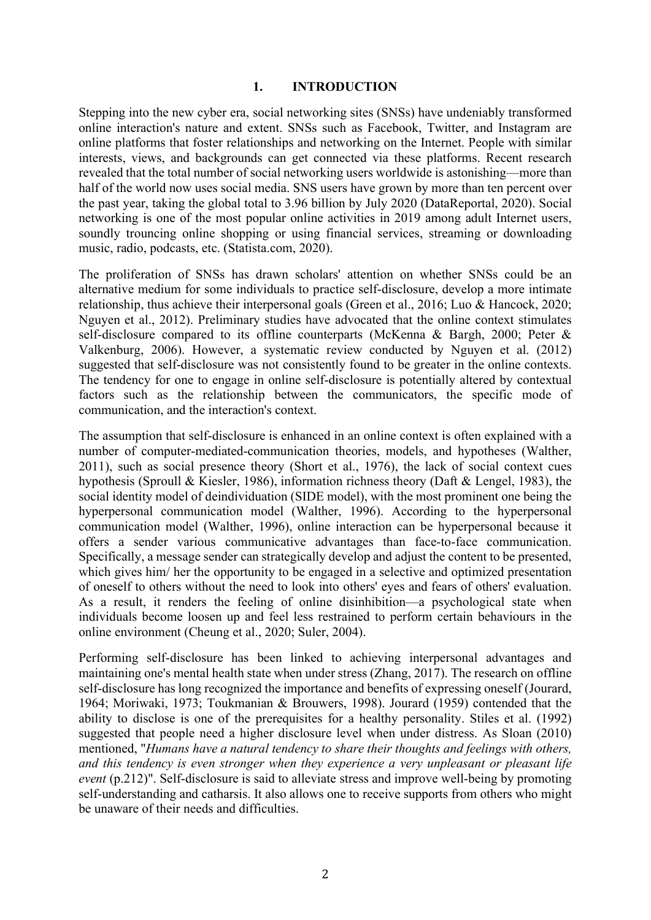#### 1. INTRODUCTION

Stepping into the new cyber era, social networking sites (SNSs) have undeniably transformed online interaction's nature and extent. SNSs such as Facebook, Twitter, and Instagram are online platforms that foster relationships and networking on the Internet. People with similar interests, views, and backgrounds can get connected via these platforms. Recent research revealed that the total number of social networking users worldwide is astonishing—more than half of the world now uses social media. SNS users have grown by more than ten percent over the past year, taking the global total to 3.96 billion by July 2020 (DataReportal, 2020). Social networking is one of the most popular online activities in 2019 among adult Internet users, soundly trouncing online shopping or using financial services, streaming or downloading music, radio, podcasts, etc. (Statista.com, 2020).

The proliferation of SNSs has drawn scholars' attention on whether SNSs could be an alternative medium for some individuals to practice self-disclosure, develop a more intimate relationship, thus achieve their interpersonal goals (Green et al., 2016; Luo & Hancock, 2020; Nguyen et al., 2012). Preliminary studies have advocated that the online context stimulates self-disclosure compared to its offline counterparts (McKenna & Bargh, 2000; Peter & Valkenburg, 2006). However, a systematic review conducted by Nguyen et al. (2012) suggested that self-disclosure was not consistently found to be greater in the online contexts. The tendency for one to engage in online self-disclosure is potentially altered by contextual factors such as the relationship between the communicators, the specific mode of communication, and the interaction's context.

The assumption that self-disclosure is enhanced in an online context is often explained with a number of computer-mediated-communication theories, models, and hypotheses (Walther, 2011), such as social presence theory (Short et al., 1976), the lack of social context cues hypothesis (Sproull & Kiesler, 1986), information richness theory (Daft & Lengel, 1983), the social identity model of deindividuation (SIDE model), with the most prominent one being the hyperpersonal communication model (Walther, 1996). According to the hyperpersonal communication model (Walther, 1996), online interaction can be hyperpersonal because it offers a sender various communicative advantages than face-to-face communication. Specifically, a message sender can strategically develop and adjust the content to be presented, which gives him/ her the opportunity to be engaged in a selective and optimized presentation of oneself to others without the need to look into others' eyes and fears of others' evaluation. As a result, it renders the feeling of online disinhibition—a psychological state when individuals become loosen up and feel less restrained to perform certain behaviours in the online environment (Cheung et al., 2020; Suler, 2004).

Performing self-disclosure has been linked to achieving interpersonal advantages and maintaining one's mental health state when under stress (Zhang, 2017). The research on offline self-disclosure has long recognized the importance and benefits of expressing oneself (Jourard, 1964; Moriwaki, 1973; Toukmanian & Brouwers, 1998). Jourard (1959) contended that the ability to disclose is one of the prerequisites for a healthy personality. Stiles et al. (1992) suggested that people need a higher disclosure level when under distress. As Sloan (2010) mentioned, "Humans have a natural tendency to share their thoughts and feelings with others, and this tendency is even stronger when they experience a very unpleasant or pleasant life event (p.212)". Self-disclosure is said to alleviate stress and improve well-being by promoting self-understanding and catharsis. It also allows one to receive supports from others who might be unaware of their needs and difficulties.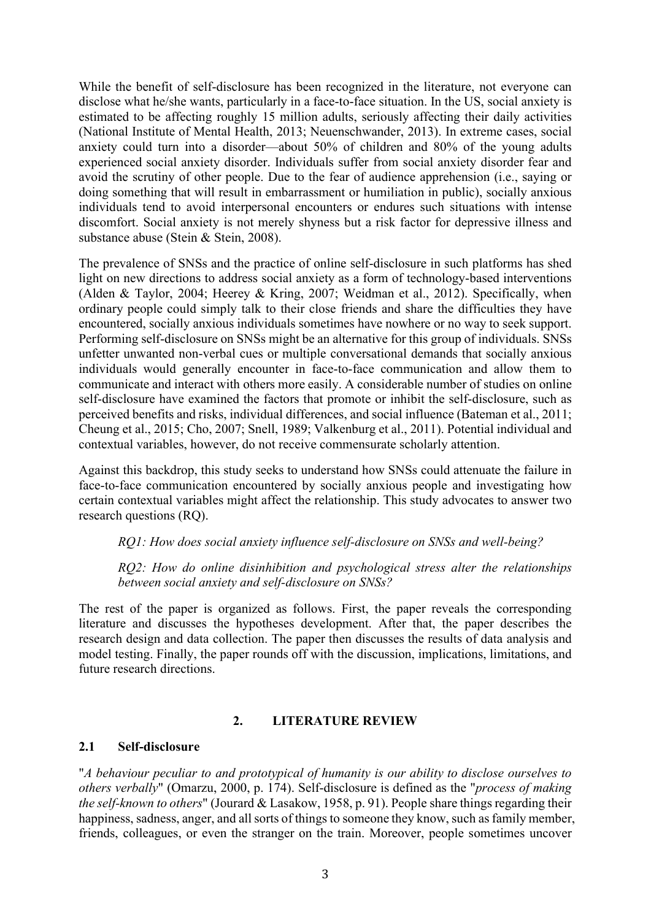While the benefit of self-disclosure has been recognized in the literature, not everyone can disclose what he/she wants, particularly in a face-to-face situation. In the US, social anxiety is estimated to be affecting roughly 15 million adults, seriously affecting their daily activities (National Institute of Mental Health, 2013; Neuenschwander, 2013). In extreme cases, social anxiety could turn into a disorder—about 50% of children and 80% of the young adults experienced social anxiety disorder. Individuals suffer from social anxiety disorder fear and avoid the scrutiny of other people. Due to the fear of audience apprehension (i.e., saying or doing something that will result in embarrassment or humiliation in public), socially anxious individuals tend to avoid interpersonal encounters or endures such situations with intense discomfort. Social anxiety is not merely shyness but a risk factor for depressive illness and substance abuse (Stein & Stein, 2008).

The prevalence of SNSs and the practice of online self-disclosure in such platforms has shed light on new directions to address social anxiety as a form of technology-based interventions (Alden & Taylor, 2004; Heerey & Kring, 2007; Weidman et al., 2012). Specifically, when ordinary people could simply talk to their close friends and share the difficulties they have encountered, socially anxious individuals sometimes have nowhere or no way to seek support. Performing self-disclosure on SNSs might be an alternative for this group of individuals. SNSs unfetter unwanted non-verbal cues or multiple conversational demands that socially anxious individuals would generally encounter in face-to-face communication and allow them to communicate and interact with others more easily. A considerable number of studies on online self-disclosure have examined the factors that promote or inhibit the self-disclosure, such as perceived benefits and risks, individual differences, and social influence (Bateman et al., 2011; Cheung et al., 2015; Cho, 2007; Snell, 1989; Valkenburg et al., 2011). Potential individual and contextual variables, however, do not receive commensurate scholarly attention.

Against this backdrop, this study seeks to understand how SNSs could attenuate the failure in face-to-face communication encountered by socially anxious people and investigating how certain contextual variables might affect the relationship. This study advocates to answer two research questions (RQ).

### RQ1: How does social anxiety influence self-disclosure on SNSs and well-being?

RQ2: How do online disinhibition and psychological stress alter the relationships between social anxiety and self-disclosure on SNSs?

The rest of the paper is organized as follows. First, the paper reveals the corresponding literature and discusses the hypotheses development. After that, the paper describes the research design and data collection. The paper then discusses the results of data analysis and model testing. Finally, the paper rounds off with the discussion, implications, limitations, and future research directions.

### 2. LITERATURE REVIEW

### 2.1 Self-disclosure

"A behaviour peculiar to and prototypical of humanity is our ability to disclose ourselves to others verbally" (Omarzu, 2000, p. 174). Self-disclosure is defined as the "process of making the self-known to others" (Jourard & Lasakow, 1958, p. 91). People share things regarding their happiness, sadness, anger, and all sorts of things to someone they know, such as family member, friends, colleagues, or even the stranger on the train. Moreover, people sometimes uncover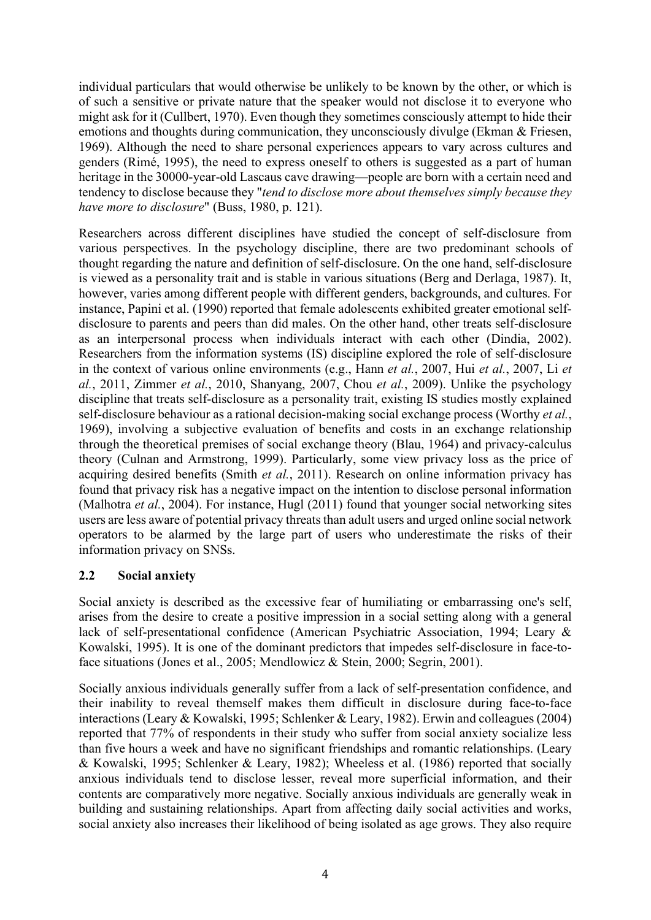individual particulars that would otherwise be unlikely to be known by the other, or which is of such a sensitive or private nature that the speaker would not disclose it to everyone who might ask for it (Cullbert, 1970). Even though they sometimes consciously attempt to hide their emotions and thoughts during communication, they unconsciously divulge (Ekman & Friesen, 1969). Although the need to share personal experiences appears to vary across cultures and genders (Rimé, 1995), the need to express oneself to others is suggested as a part of human heritage in the 30000-year-old Lascaus cave drawing—people are born with a certain need and tendency to disclose because they "tend to disclose more about themselves simply because they have more to disclosure" (Buss, 1980, p. 121).

Researchers across different disciplines have studied the concept of self-disclosure from various perspectives. In the psychology discipline, there are two predominant schools of thought regarding the nature and definition of self-disclosure. On the one hand, self-disclosure is viewed as a personality trait and is stable in various situations (Berg and Derlaga, 1987). It, however, varies among different people with different genders, backgrounds, and cultures. For instance, Papini et al. (1990) reported that female adolescents exhibited greater emotional selfdisclosure to parents and peers than did males. On the other hand, other treats self-disclosure as an interpersonal process when individuals interact with each other (Dindia, 2002). Researchers from the information systems (IS) discipline explored the role of self-disclosure in the context of various online environments (e.g., Hann et al., 2007, Hui et al., 2007, Li et al., 2011, Zimmer et al., 2010, Shanyang, 2007, Chou et al., 2009). Unlike the psychology discipline that treats self-disclosure as a personality trait, existing IS studies mostly explained self-disclosure behaviour as a rational decision-making social exchange process (Worthy *et al.*, 1969), involving a subjective evaluation of benefits and costs in an exchange relationship through the theoretical premises of social exchange theory (Blau, 1964) and privacy-calculus theory (Culnan and Armstrong, 1999). Particularly, some view privacy loss as the price of acquiring desired benefits (Smith *et al.*, 2011). Research on online information privacy has found that privacy risk has a negative impact on the intention to disclose personal information (Malhotra et al., 2004). For instance, Hugl (2011) found that younger social networking sites users are less aware of potential privacy threats than adult users and urged online social network operators to be alarmed by the large part of users who underestimate the risks of their information privacy on SNSs.

# 2.2 Social anxiety

Social anxiety is described as the excessive fear of humiliating or embarrassing one's self, arises from the desire to create a positive impression in a social setting along with a general lack of self-presentational confidence (American Psychiatric Association, 1994; Leary & Kowalski, 1995). It is one of the dominant predictors that impedes self-disclosure in face-toface situations (Jones et al., 2005; Mendlowicz & Stein, 2000; Segrin, 2001).

Socially anxious individuals generally suffer from a lack of self-presentation confidence, and their inability to reveal themself makes them difficult in disclosure during face-to-face interactions (Leary & Kowalski, 1995; Schlenker & Leary, 1982). Erwin and colleagues (2004) reported that 77% of respondents in their study who suffer from social anxiety socialize less than five hours a week and have no significant friendships and romantic relationships. (Leary & Kowalski, 1995; Schlenker & Leary, 1982); Wheeless et al. (1986) reported that socially anxious individuals tend to disclose lesser, reveal more superficial information, and their contents are comparatively more negative. Socially anxious individuals are generally weak in building and sustaining relationships. Apart from affecting daily social activities and works, social anxiety also increases their likelihood of being isolated as age grows. They also require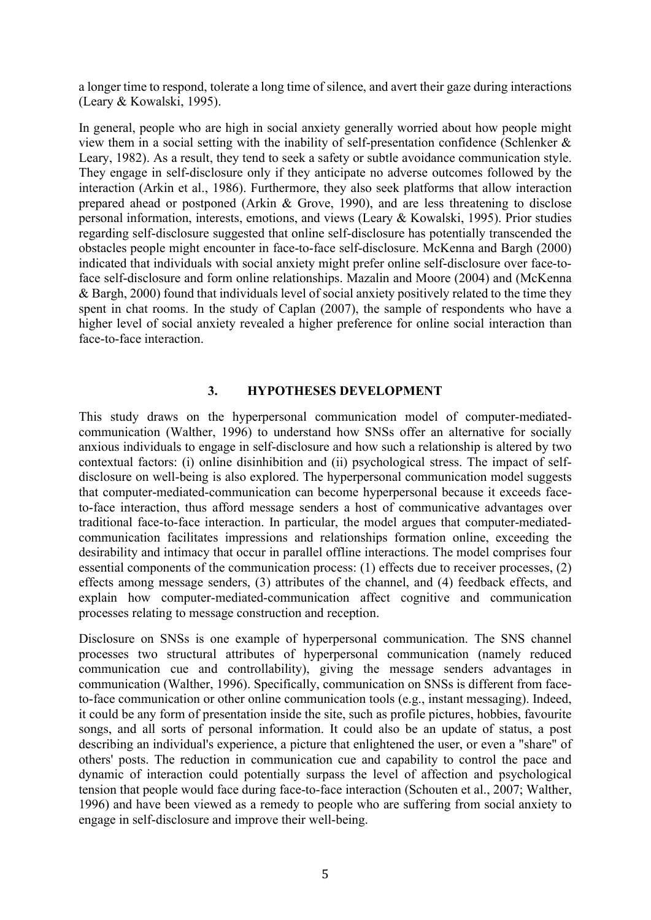a longer time to respond, tolerate a long time of silence, and avert their gaze during interactions (Leary & Kowalski, 1995).

In general, people who are high in social anxiety generally worried about how people might view them in a social setting with the inability of self-presentation confidence (Schlenker & Leary, 1982). As a result, they tend to seek a safety or subtle avoidance communication style. They engage in self-disclosure only if they anticipate no adverse outcomes followed by the interaction (Arkin et al., 1986). Furthermore, they also seek platforms that allow interaction prepared ahead or postponed (Arkin & Grove, 1990), and are less threatening to disclose personal information, interests, emotions, and views (Leary & Kowalski, 1995). Prior studies regarding self-disclosure suggested that online self-disclosure has potentially transcended the obstacles people might encounter in face-to-face self-disclosure. McKenna and Bargh (2000) indicated that individuals with social anxiety might prefer online self-disclosure over face-toface self-disclosure and form online relationships. Mazalin and Moore (2004) and (McKenna & Bargh, 2000) found that individuals level of social anxiety positively related to the time they spent in chat rooms. In the study of Caplan (2007), the sample of respondents who have a higher level of social anxiety revealed a higher preference for online social interaction than face-to-face interaction.

### 3. HYPOTHESES DEVELOPMENT

This study draws on the hyperpersonal communication model of computer-mediatedcommunication (Walther, 1996) to understand how SNSs offer an alternative for socially anxious individuals to engage in self-disclosure and how such a relationship is altered by two contextual factors: (i) online disinhibition and (ii) psychological stress. The impact of selfdisclosure on well-being is also explored. The hyperpersonal communication model suggests that computer-mediated-communication can become hyperpersonal because it exceeds faceto-face interaction, thus afford message senders a host of communicative advantages over traditional face-to-face interaction. In particular, the model argues that computer-mediatedcommunication facilitates impressions and relationships formation online, exceeding the desirability and intimacy that occur in parallel offline interactions. The model comprises four essential components of the communication process: (1) effects due to receiver processes, (2) effects among message senders, (3) attributes of the channel, and (4) feedback effects, and explain how computer-mediated-communication affect cognitive and communication processes relating to message construction and reception.

Disclosure on SNSs is one example of hyperpersonal communication. The SNS channel processes two structural attributes of hyperpersonal communication (namely reduced communication cue and controllability), giving the message senders advantages in communication (Walther, 1996). Specifically, communication on SNSs is different from faceto-face communication or other online communication tools (e.g., instant messaging). Indeed, it could be any form of presentation inside the site, such as profile pictures, hobbies, favourite songs, and all sorts of personal information. It could also be an update of status, a post describing an individual's experience, a picture that enlightened the user, or even a "share" of others' posts. The reduction in communication cue and capability to control the pace and dynamic of interaction could potentially surpass the level of affection and psychological tension that people would face during face-to-face interaction (Schouten et al., 2007; Walther, 1996) and have been viewed as a remedy to people who are suffering from social anxiety to engage in self-disclosure and improve their well-being.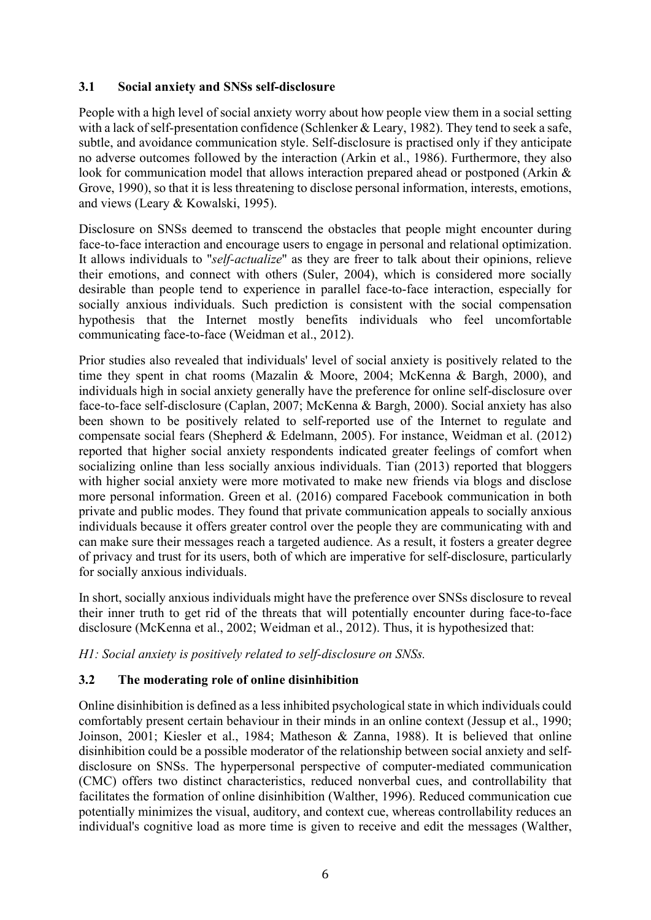# 3.1 Social anxiety and SNSs self-disclosure

People with a high level of social anxiety worry about how people view them in a social setting with a lack of self-presentation confidence (Schlenker & Leary, 1982). They tend to seek a safe, subtle, and avoidance communication style. Self-disclosure is practised only if they anticipate no adverse outcomes followed by the interaction (Arkin et al., 1986). Furthermore, they also look for communication model that allows interaction prepared ahead or postponed (Arkin & Grove, 1990), so that it is less threatening to disclose personal information, interests, emotions, and views (Leary & Kowalski, 1995).

Disclosure on SNSs deemed to transcend the obstacles that people might encounter during face-to-face interaction and encourage users to engage in personal and relational optimization. It allows individuals to "*self-actualize*" as they are freer to talk about their opinions, relieve their emotions, and connect with others (Suler, 2004), which is considered more socially desirable than people tend to experience in parallel face-to-face interaction, especially for socially anxious individuals. Such prediction is consistent with the social compensation hypothesis that the Internet mostly benefits individuals who feel uncomfortable communicating face-to-face (Weidman et al., 2012).

Prior studies also revealed that individuals' level of social anxiety is positively related to the time they spent in chat rooms (Mazalin & Moore, 2004; McKenna & Bargh, 2000), and individuals high in social anxiety generally have the preference for online self-disclosure over face-to-face self-disclosure (Caplan, 2007; McKenna & Bargh, 2000). Social anxiety has also been shown to be positively related to self-reported use of the Internet to regulate and compensate social fears (Shepherd & Edelmann, 2005). For instance, Weidman et al. (2012) reported that higher social anxiety respondents indicated greater feelings of comfort when socializing online than less socially anxious individuals. Tian (2013) reported that bloggers with higher social anxiety were more motivated to make new friends via blogs and disclose more personal information. Green et al. (2016) compared Facebook communication in both private and public modes. They found that private communication appeals to socially anxious individuals because it offers greater control over the people they are communicating with and can make sure their messages reach a targeted audience. As a result, it fosters a greater degree of privacy and trust for its users, both of which are imperative for self-disclosure, particularly for socially anxious individuals.

In short, socially anxious individuals might have the preference over SNSs disclosure to reveal their inner truth to get rid of the threats that will potentially encounter during face-to-face disclosure (McKenna et al., 2002; Weidman et al., 2012). Thus, it is hypothesized that:

H1: Social anxiety is positively related to self-disclosure on SNSs.

# 3.2 The moderating role of online disinhibition

Online disinhibition is defined as a less inhibited psychological state in which individuals could comfortably present certain behaviour in their minds in an online context (Jessup et al., 1990; Joinson, 2001; Kiesler et al., 1984; Matheson & Zanna, 1988). It is believed that online disinhibition could be a possible moderator of the relationship between social anxiety and selfdisclosure on SNSs. The hyperpersonal perspective of computer-mediated communication (CMC) offers two distinct characteristics, reduced nonverbal cues, and controllability that facilitates the formation of online disinhibition (Walther, 1996). Reduced communication cue potentially minimizes the visual, auditory, and context cue, whereas controllability reduces an individual's cognitive load as more time is given to receive and edit the messages (Walther,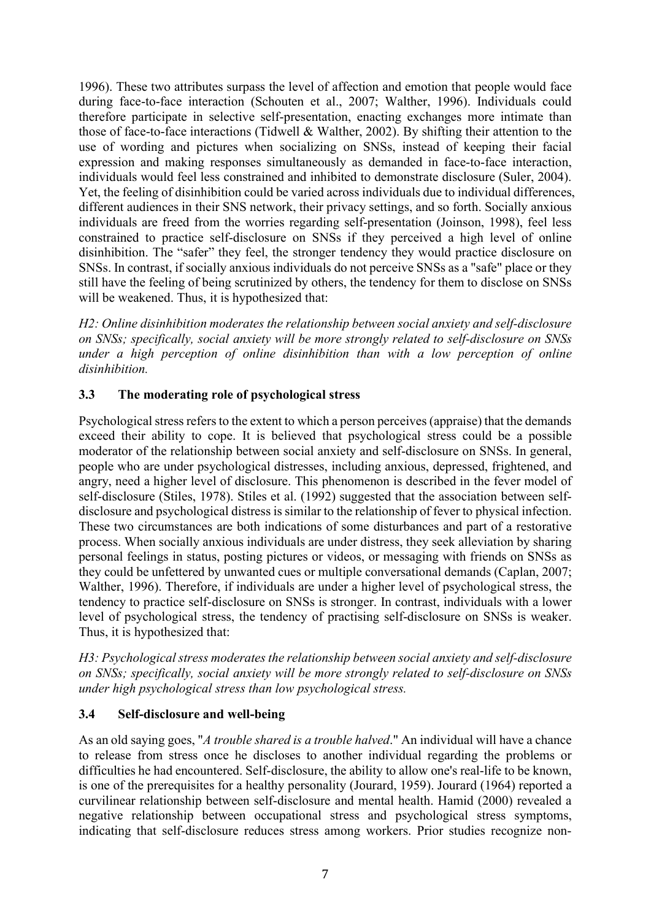1996). These two attributes surpass the level of affection and emotion that people would face during face-to-face interaction (Schouten et al., 2007; Walther, 1996). Individuals could therefore participate in selective self-presentation, enacting exchanges more intimate than those of face-to-face interactions (Tidwell & Walther, 2002). By shifting their attention to the use of wording and pictures when socializing on SNSs, instead of keeping their facial expression and making responses simultaneously as demanded in face-to-face interaction, individuals would feel less constrained and inhibited to demonstrate disclosure (Suler, 2004). Yet, the feeling of disinhibition could be varied across individuals due to individual differences, different audiences in their SNS network, their privacy settings, and so forth. Socially anxious individuals are freed from the worries regarding self-presentation (Joinson, 1998), feel less constrained to practice self-disclosure on SNSs if they perceived a high level of online disinhibition. The "safer" they feel, the stronger tendency they would practice disclosure on SNSs. In contrast, if socially anxious individuals do not perceive SNSs as a "safe" place or they still have the feeling of being scrutinized by others, the tendency for them to disclose on SNSs will be weakened. Thus, it is hypothesized that:

H2: Online disinhibition moderates the relationship between social anxiety and self-disclosure on SNSs; specifically, social anxiety will be more strongly related to self-disclosure on SNSs under a high perception of online disinhibition than with a low perception of online disinhibition.

# 3.3 The moderating role of psychological stress

Psychological stress refers to the extent to which a person perceives (appraise) that the demands exceed their ability to cope. It is believed that psychological stress could be a possible moderator of the relationship between social anxiety and self-disclosure on SNSs. In general, people who are under psychological distresses, including anxious, depressed, frightened, and angry, need a higher level of disclosure. This phenomenon is described in the fever model of self-disclosure (Stiles, 1978). Stiles et al. (1992) suggested that the association between selfdisclosure and psychological distress is similar to the relationship of fever to physical infection. These two circumstances are both indications of some disturbances and part of a restorative process. When socially anxious individuals are under distress, they seek alleviation by sharing personal feelings in status, posting pictures or videos, or messaging with friends on SNSs as they could be unfettered by unwanted cues or multiple conversational demands (Caplan, 2007; Walther, 1996). Therefore, if individuals are under a higher level of psychological stress, the tendency to practice self-disclosure on SNSs is stronger. In contrast, individuals with a lower level of psychological stress, the tendency of practising self-disclosure on SNSs is weaker. Thus, it is hypothesized that:

H3: Psychological stress moderates the relationship between social anxiety and self-disclosure on SNSs; specifically, social anxiety will be more strongly related to self-disclosure on SNSs under high psychological stress than low psychological stress.

# 3.4 Self-disclosure and well-being

As an old saying goes, "A trouble shared is a trouble halved." An individual will have a chance to release from stress once he discloses to another individual regarding the problems or difficulties he had encountered. Self-disclosure, the ability to allow one's real-life to be known, is one of the prerequisites for a healthy personality (Jourard, 1959). Jourard (1964) reported a curvilinear relationship between self-disclosure and mental health. Hamid (2000) revealed a negative relationship between occupational stress and psychological stress symptoms, indicating that self-disclosure reduces stress among workers. Prior studies recognize non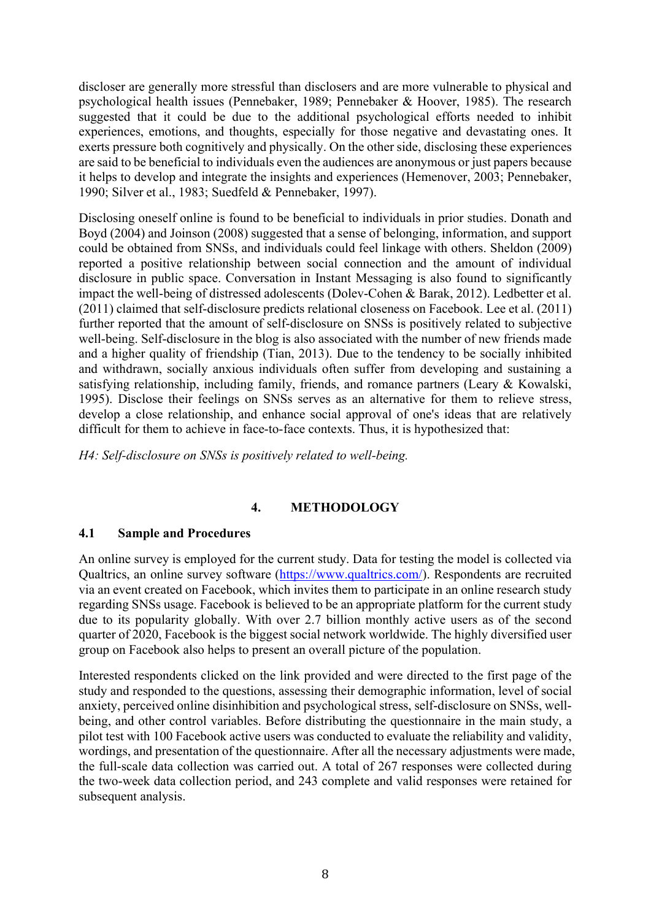discloser are generally more stressful than disclosers and are more vulnerable to physical and psychological health issues (Pennebaker, 1989; Pennebaker & Hoover, 1985). The research suggested that it could be due to the additional psychological efforts needed to inhibit experiences, emotions, and thoughts, especially for those negative and devastating ones. It exerts pressure both cognitively and physically. On the other side, disclosing these experiences are said to be beneficial to individuals even the audiences are anonymous or just papers because it helps to develop and integrate the insights and experiences (Hemenover, 2003; Pennebaker, 1990; Silver et al., 1983; Suedfeld & Pennebaker, 1997).

Disclosing oneself online is found to be beneficial to individuals in prior studies. Donath and Boyd (2004) and Joinson (2008) suggested that a sense of belonging, information, and support could be obtained from SNSs, and individuals could feel linkage with others. Sheldon (2009) reported a positive relationship between social connection and the amount of individual disclosure in public space. Conversation in Instant Messaging is also found to significantly impact the well-being of distressed adolescents (Dolev-Cohen & Barak, 2012). Ledbetter et al. (2011) claimed that self-disclosure predicts relational closeness on Facebook. Lee et al. (2011) further reported that the amount of self-disclosure on SNSs is positively related to subjective well-being. Self-disclosure in the blog is also associated with the number of new friends made and a higher quality of friendship (Tian, 2013). Due to the tendency to be socially inhibited and withdrawn, socially anxious individuals often suffer from developing and sustaining a satisfying relationship, including family, friends, and romance partners (Leary & Kowalski, 1995). Disclose their feelings on SNSs serves as an alternative for them to relieve stress, develop a close relationship, and enhance social approval of one's ideas that are relatively difficult for them to achieve in face-to-face contexts. Thus, it is hypothesized that:

H4: Self-disclosure on SNSs is positively related to well-being.

# 4. METHODOLOGY

# 4.1 Sample and Procedures

An online survey is employed for the current study. Data for testing the model is collected via Qualtrics, an online survey software (https://www.qualtrics.com/). Respondents are recruited via an event created on Facebook, which invites them to participate in an online research study regarding SNSs usage. Facebook is believed to be an appropriate platform for the current study due to its popularity globally. With over 2.7 billion monthly active users as of the second quarter of 2020, Facebook is the biggest social network worldwide. The highly diversified user group on Facebook also helps to present an overall picture of the population.

Interested respondents clicked on the link provided and were directed to the first page of the study and responded to the questions, assessing their demographic information, level of social anxiety, perceived online disinhibition and psychological stress, self-disclosure on SNSs, wellbeing, and other control variables. Before distributing the questionnaire in the main study, a pilot test with 100 Facebook active users was conducted to evaluate the reliability and validity, wordings, and presentation of the questionnaire. After all the necessary adjustments were made, the full-scale data collection was carried out. A total of 267 responses were collected during the two-week data collection period, and 243 complete and valid responses were retained for subsequent analysis.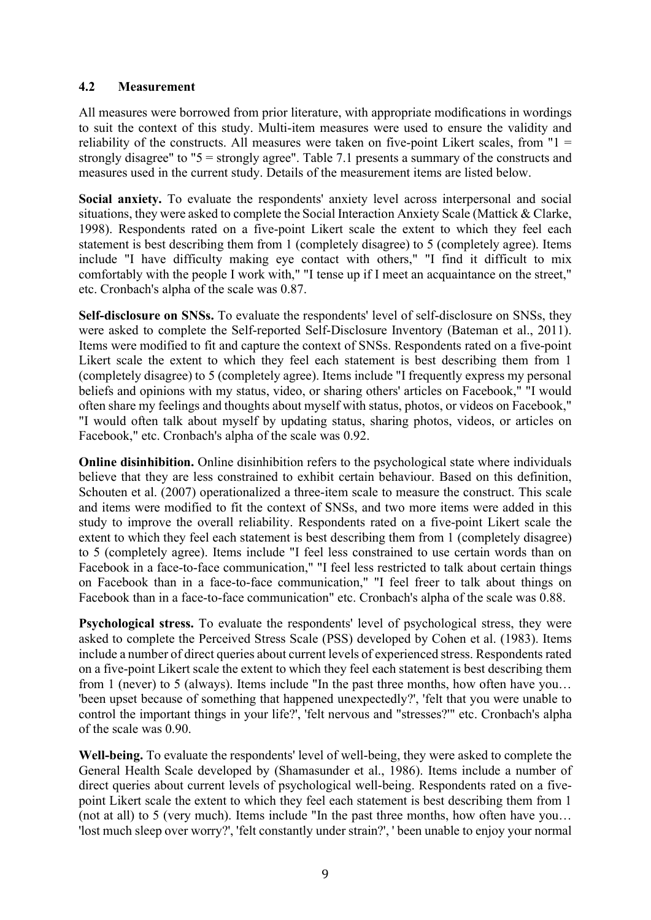## 4.2 Measurement

All measures were borrowed from prior literature, with appropriate modifications in wordings to suit the context of this study. Multi-item measures were used to ensure the validity and reliability of the constructs. All measures were taken on five-point Likert scales, from  $"1 =$ strongly disagree" to "5 = strongly agree". Table 7.1 presents a summary of the constructs and measures used in the current study. Details of the measurement items are listed below.

Social anxiety. To evaluate the respondents' anxiety level across interpersonal and social situations, they were asked to complete the Social Interaction Anxiety Scale (Mattick & Clarke, 1998). Respondents rated on a five-point Likert scale the extent to which they feel each statement is best describing them from 1 (completely disagree) to 5 (completely agree). Items include "I have difficulty making eye contact with others," "I find it difficult to mix comfortably with the people I work with," "I tense up if I meet an acquaintance on the street," etc. Cronbach's alpha of the scale was 0.87.

Self-disclosure on SNSs. To evaluate the respondents' level of self-disclosure on SNSs, they were asked to complete the Self-reported Self-Disclosure Inventory (Bateman et al., 2011). Items were modified to fit and capture the context of SNSs. Respondents rated on a five-point Likert scale the extent to which they feel each statement is best describing them from 1 (completely disagree) to 5 (completely agree). Items include "I frequently express my personal beliefs and opinions with my status, video, or sharing others' articles on Facebook," "I would often share my feelings and thoughts about myself with status, photos, or videos on Facebook," "I would often talk about myself by updating status, sharing photos, videos, or articles on Facebook," etc. Cronbach's alpha of the scale was 0.92.

Online disinhibition. Online disinhibition refers to the psychological state where individuals believe that they are less constrained to exhibit certain behaviour. Based on this definition, Schouten et al. (2007) operationalized a three-item scale to measure the construct. This scale and items were modified to fit the context of SNSs, and two more items were added in this study to improve the overall reliability. Respondents rated on a five-point Likert scale the extent to which they feel each statement is best describing them from 1 (completely disagree) to 5 (completely agree). Items include "I feel less constrained to use certain words than on Facebook in a face-to-face communication," "I feel less restricted to talk about certain things on Facebook than in a face-to-face communication," "I feel freer to talk about things on Facebook than in a face-to-face communication" etc. Cronbach's alpha of the scale was 0.88.

Psychological stress. To evaluate the respondents' level of psychological stress, they were asked to complete the Perceived Stress Scale (PSS) developed by Cohen et al. (1983). Items include a number of direct queries about current levels of experienced stress. Respondents rated on a five-point Likert scale the extent to which they feel each statement is best describing them from 1 (never) to 5 (always). Items include "In the past three months, how often have you… 'been upset because of something that happened unexpectedly?', 'felt that you were unable to control the important things in your life?', 'felt nervous and "stresses?'" etc. Cronbach's alpha of the scale was 0.90.

Well-being. To evaluate the respondents' level of well-being, they were asked to complete the General Health Scale developed by (Shamasunder et al., 1986). Items include a number of direct queries about current levels of psychological well-being. Respondents rated on a fivepoint Likert scale the extent to which they feel each statement is best describing them from 1 (not at all) to 5 (very much). Items include "In the past three months, how often have you… 'lost much sleep over worry?', 'felt constantly under strain?', ' been unable to enjoy your normal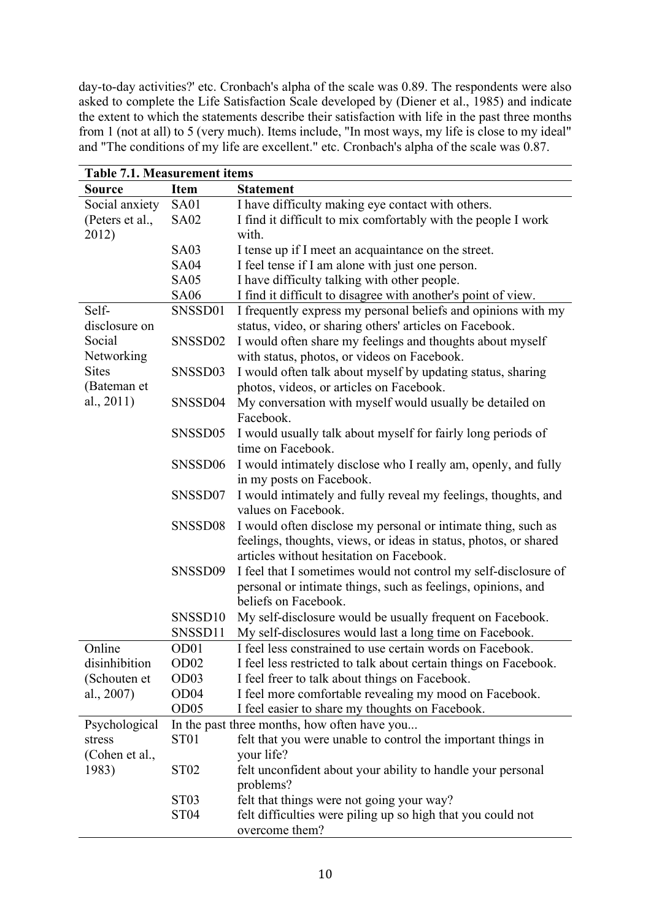day-to-day activities?' etc. Cronbach's alpha of the scale was 0.89. The respondents were also asked to complete the Life Satisfaction Scale developed by (Diener et al., 1985) and indicate the extent to which the statements describe their satisfaction with life in the past three months from 1 (not at all) to 5 (very much). Items include, "In most ways, my life is close to my ideal" and "The conditions of my life are excellent." etc. Cronbach's alpha of the scale was 0.87.

| <b>Table 7.1. Measurement items</b> |                  |                                                                  |  |  |  |  |  |
|-------------------------------------|------------------|------------------------------------------------------------------|--|--|--|--|--|
| <b>Source</b>                       | <b>Item</b>      | <b>Statement</b>                                                 |  |  |  |  |  |
| Social anxiety                      | <b>SA01</b>      | I have difficulty making eye contact with others.                |  |  |  |  |  |
| (Peters et al.,                     | <b>SA02</b>      | I find it difficult to mix comfortably with the people I work    |  |  |  |  |  |
| 2012)                               |                  | with.                                                            |  |  |  |  |  |
|                                     | SA <sub>03</sub> | I tense up if I meet an acquaintance on the street.              |  |  |  |  |  |
|                                     | <b>SA04</b>      | I feel tense if I am alone with just one person.                 |  |  |  |  |  |
|                                     | <b>SA05</b>      | I have difficulty talking with other people.                     |  |  |  |  |  |
|                                     | <b>SA06</b>      | I find it difficult to disagree with another's point of view.    |  |  |  |  |  |
| Self-                               | SNSSD01          | I frequently express my personal beliefs and opinions with my    |  |  |  |  |  |
| disclosure on                       |                  | status, video, or sharing others' articles on Facebook.          |  |  |  |  |  |
| Social                              | SNSSD02          | I would often share my feelings and thoughts about myself        |  |  |  |  |  |
| Networking                          |                  | with status, photos, or videos on Facebook.                      |  |  |  |  |  |
| <b>Sites</b>                        | SNSSD03          | I would often talk about myself by updating status, sharing      |  |  |  |  |  |
| (Bateman et                         |                  | photos, videos, or articles on Facebook.                         |  |  |  |  |  |
| al., 2011)                          | SNSSD04          | My conversation with myself would usually be detailed on         |  |  |  |  |  |
|                                     |                  | Facebook.                                                        |  |  |  |  |  |
|                                     | SNSSD05          | I would usually talk about myself for fairly long periods of     |  |  |  |  |  |
|                                     |                  | time on Facebook.                                                |  |  |  |  |  |
|                                     | SNSSD06          | I would intimately disclose who I really am, openly, and fully   |  |  |  |  |  |
|                                     |                  | in my posts on Facebook.                                         |  |  |  |  |  |
|                                     | SNSSD07          | I would intimately and fully reveal my feelings, thoughts, and   |  |  |  |  |  |
|                                     |                  | values on Facebook.                                              |  |  |  |  |  |
|                                     | SNSSD08          | I would often disclose my personal or intimate thing, such as    |  |  |  |  |  |
|                                     |                  | feelings, thoughts, views, or ideas in status, photos, or shared |  |  |  |  |  |
|                                     |                  | articles without hesitation on Facebook.                         |  |  |  |  |  |
|                                     | SNSSD09          | I feel that I sometimes would not control my self-disclosure of  |  |  |  |  |  |
|                                     |                  | personal or intimate things, such as feelings, opinions, and     |  |  |  |  |  |
|                                     |                  | beliefs on Facebook.                                             |  |  |  |  |  |
|                                     | SNSSD10          | My self-disclosure would be usually frequent on Facebook.        |  |  |  |  |  |
|                                     | SNSSD11          | My self-disclosures would last a long time on Facebook.          |  |  |  |  |  |
| Online                              | OD <sub>01</sub> | I feel less constrained to use certain words on Facebook.        |  |  |  |  |  |
| disinhibition                       | OD <sub>02</sub> | I feel less restricted to talk about certain things on Facebook. |  |  |  |  |  |
| (Schouten et                        | OD <sub>03</sub> | I feel freer to talk about things on Facebook.                   |  |  |  |  |  |
| al., 2007)                          | OD <sub>04</sub> | I feel more comfortable revealing my mood on Facebook.           |  |  |  |  |  |
|                                     | OD <sub>05</sub> | I feel easier to share my thoughts on Facebook.                  |  |  |  |  |  |
| Psychological                       |                  | In the past three months, how often have you                     |  |  |  |  |  |
| stress                              | ST <sub>01</sub> | felt that you were unable to control the important things in     |  |  |  |  |  |
| (Cohen et al.,                      |                  | your life?                                                       |  |  |  |  |  |
| 1983)                               | ST <sub>02</sub> | felt unconfident about your ability to handle your personal      |  |  |  |  |  |
|                                     |                  | problems?                                                        |  |  |  |  |  |
|                                     | ST <sub>03</sub> | felt that things were not going your way?                        |  |  |  |  |  |
|                                     | <b>ST04</b>      | felt difficulties were piling up so high that you could not      |  |  |  |  |  |
|                                     |                  | overcome them?                                                   |  |  |  |  |  |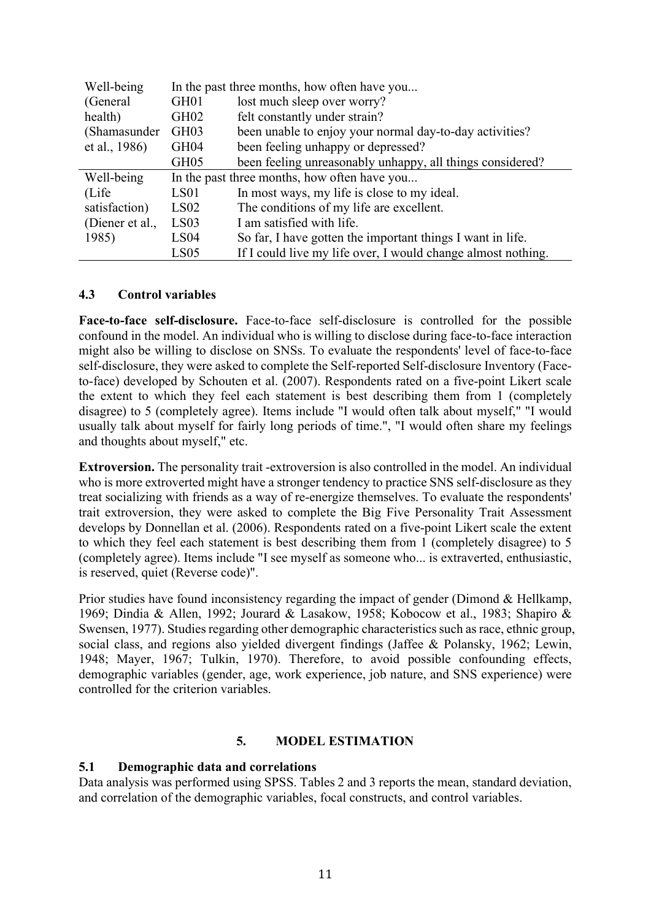| Well-being      | In the past three months, how often have you |                                                              |  |  |
|-----------------|----------------------------------------------|--------------------------------------------------------------|--|--|
| (General        | GH01                                         | lost much sleep over worry?                                  |  |  |
| health)         | GH <sub>02</sub>                             | felt constantly under strain?                                |  |  |
| (Shamasunder    | GH <sub>03</sub>                             | been unable to enjoy your normal day-to-day activities?      |  |  |
| et al., 1986)   | GH04                                         | been feeling unhappy or depressed?                           |  |  |
|                 | GH <sub>05</sub>                             | been feeling unreasonably unhappy, all things considered?    |  |  |
| Well-being      | In the past three months, how often have you |                                                              |  |  |
| (Life)          | LS <sub>01</sub>                             | In most ways, my life is close to my ideal.                  |  |  |
| satisfaction)   | LS02                                         | The conditions of my life are excellent.                     |  |  |
| (Diener et al., | LS <sub>03</sub>                             | I am satisfied with life.                                    |  |  |
| 1985)           | LS04                                         | So far, I have gotten the important things I want in life.   |  |  |
|                 | LS05                                         | If I could live my life over, I would change almost nothing. |  |  |

# 4.3 Control variables

Face-to-face self-disclosure. Face-to-face self-disclosure is controlled for the possible confound in the model. An individual who is willing to disclose during face-to-face interaction might also be willing to disclose on SNSs. To evaluate the respondents' level of face-to-face self-disclosure, they were asked to complete the Self-reported Self-disclosure Inventory (Faceto-face) developed by Schouten et al. (2007). Respondents rated on a five-point Likert scale the extent to which they feel each statement is best describing them from 1 (completely disagree) to 5 (completely agree). Items include "I would often talk about myself," "I would usually talk about myself for fairly long periods of time.", "I would often share my feelings and thoughts about myself," etc.

Extroversion. The personality trait -extroversion is also controlled in the model. An individual who is more extroverted might have a stronger tendency to practice SNS self-disclosure as they treat socializing with friends as a way of re-energize themselves. To evaluate the respondents' trait extroversion, they were asked to complete the Big Five Personality Trait Assessment develops by Donnellan et al. (2006). Respondents rated on a five-point Likert scale the extent to which they feel each statement is best describing them from 1 (completely disagree) to 5 (completely agree). Items include "I see myself as someone who... is extraverted, enthusiastic, is reserved, quiet (Reverse code)".

Prior studies have found inconsistency regarding the impact of gender (Dimond & Hellkamp, 1969; Dindia & Allen, 1992; Jourard & Lasakow, 1958; Kobocow et al., 1983; Shapiro & Swensen, 1977). Studies regarding other demographic characteristics such as race, ethnic group, social class, and regions also yielded divergent findings (Jaffee & Polansky, 1962; Lewin, 1948; Mayer, 1967; Tulkin, 1970). Therefore, to avoid possible confounding effects, demographic variables (gender, age, work experience, job nature, and SNS experience) were controlled for the criterion variables.

### 5. MODEL ESTIMATION

### 5.1 Demographic data and correlations

Data analysis was performed using SPSS. Tables 2 and 3 reports the mean, standard deviation, and correlation of the demographic variables, focal constructs, and control variables.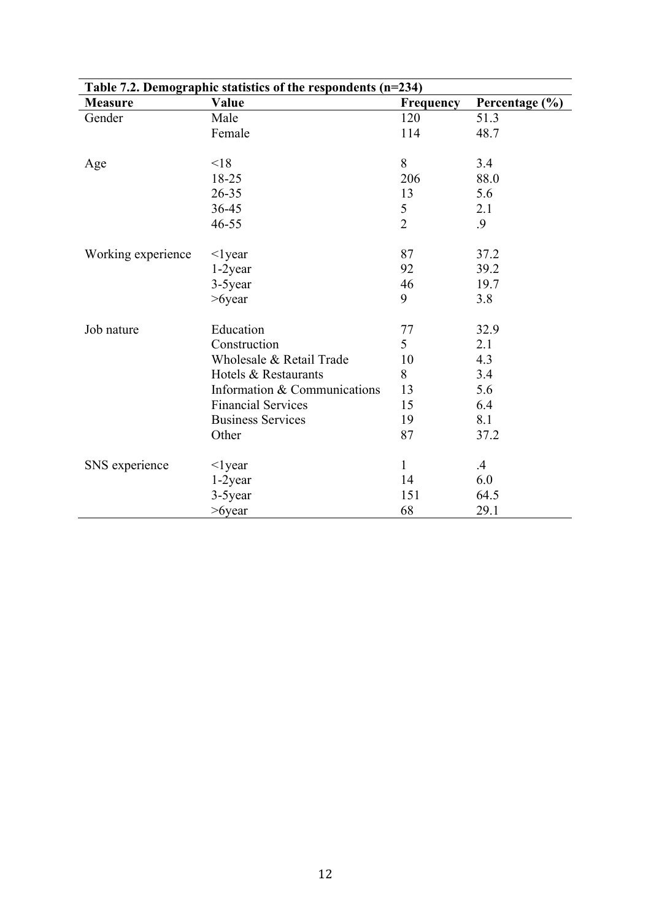| Table 7.2. Demographic statistics of the respondents $(n=234)$ |                              |                |                |  |  |  |  |
|----------------------------------------------------------------|------------------------------|----------------|----------------|--|--|--|--|
| <b>Measure</b>                                                 | Value                        | Frequency      | Percentage (%) |  |  |  |  |
| Gender                                                         | Male                         | 120            | 51.3           |  |  |  |  |
|                                                                | Female                       | 114            | 48.7           |  |  |  |  |
| Age                                                            | < 18                         | 8              | 3.4            |  |  |  |  |
|                                                                | 18-25                        | 206            | 88.0           |  |  |  |  |
|                                                                | 26-35                        | 13             | 5.6            |  |  |  |  |
|                                                                | 36-45                        | 5              | 2.1            |  |  |  |  |
|                                                                | 46-55                        | $\overline{2}$ | .9             |  |  |  |  |
| Working experience                                             | $\leq$ lyear                 | 87             | 37.2           |  |  |  |  |
|                                                                | 1-2year                      | 92             | 39.2           |  |  |  |  |
|                                                                | 3-5year                      | 46             | 19.7           |  |  |  |  |
|                                                                | $>6$ year                    | 9              | 3.8            |  |  |  |  |
| Job nature                                                     | Education                    | 77             | 32.9           |  |  |  |  |
|                                                                | Construction                 | 5              | 2.1            |  |  |  |  |
|                                                                | Wholesale & Retail Trade     | 10             | 4.3            |  |  |  |  |
|                                                                | Hotels & Restaurants         | 8              | 3.4            |  |  |  |  |
|                                                                | Information & Communications | 13             | 5.6            |  |  |  |  |
|                                                                | <b>Financial Services</b>    | 15             | 6.4            |  |  |  |  |
|                                                                | <b>Business Services</b>     | 19             | 8.1            |  |  |  |  |
|                                                                | Other                        | 87             | 37.2           |  |  |  |  |
| SNS experience                                                 | $\leq$ lyear                 | $\mathbf{1}$   | $\cdot$        |  |  |  |  |
|                                                                | 1-2year                      | 14             | 6.0            |  |  |  |  |
|                                                                | 3-5year                      | 151            | 64.5           |  |  |  |  |
|                                                                | $>6$ year                    | 68             | 29.1           |  |  |  |  |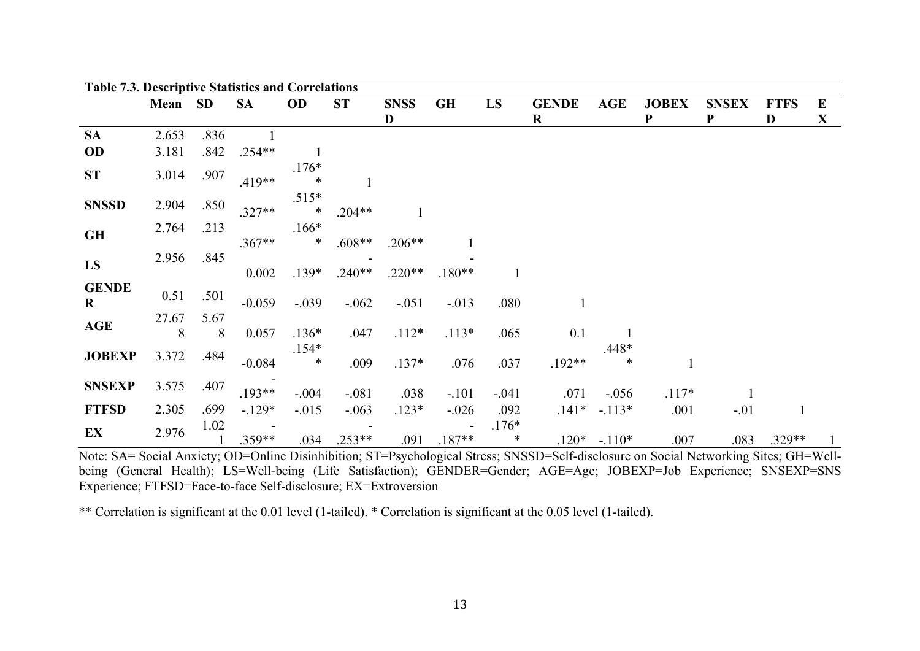| <b>Table 7.3. Descriptive Statistics and Correlations</b> |            |           |           |                   |           |             |           |                   |              |              |              |              |             |          |
|-----------------------------------------------------------|------------|-----------|-----------|-------------------|-----------|-------------|-----------|-------------------|--------------|--------------|--------------|--------------|-------------|----------|
|                                                           | Mean SD    |           | <b>SA</b> | <b>OD</b>         | <b>ST</b> | <b>SNSS</b> | <b>GH</b> | LS                | <b>GENDE</b> | <b>AGE</b>   | <b>JOBEX</b> | <b>SNSEX</b> | <b>FTFS</b> | $\bf{E}$ |
|                                                           |            |           |           |                   |           | D           |           |                   | $\bf R$      |              | ${\bf P}$    | ${\bf P}$    | D           | X        |
| <b>SA</b>                                                 | 2.653      | .836      |           |                   |           |             |           |                   |              |              |              |              |             |          |
| <b>OD</b>                                                 | 3.181      | .842      | $.254**$  |                   |           |             |           |                   |              |              |              |              |             |          |
| <b>ST</b>                                                 | 3.014      | .907      | $.419**$  | $.176*$<br>$\ast$ |           |             |           |                   |              |              |              |              |             |          |
| <b>SNSSD</b>                                              | 2.904      | .850      | $.327**$  | $.515*$<br>$\ast$ | $.204**$  |             |           |                   |              |              |              |              |             |          |
| <b>GH</b>                                                 | 2.764      | .213      | $.367**$  | $.166*$<br>$\ast$ | $.608**$  | $.206**$    |           |                   |              |              |              |              |             |          |
| LS                                                        | 2.956      | .845      | 0.002     | $.139*$           | $.240**$  | $.220**$    | $.180**$  |                   |              |              |              |              |             |          |
| <b>GENDE</b><br>$\bf{R}$                                  | 0.51       | .501      | $-0.059$  | $-.039$           | $-.062$   | $-.051$     | $-.013$   | .080              |              |              |              |              |             |          |
| <b>AGE</b>                                                | 27.67<br>8 | 5.67<br>8 | 0.057     | $.136*$           | .047      | $.112*$     | $.113*$   | .065              | 0.1          |              |              |              |             |          |
| <b>JOBEXP</b>                                             | 3.372      | .484      | $-0.084$  | $.154*$<br>$\ast$ | .009      | $.137*$     | .076      | .037              | $.192**$     | $.448*$<br>∗ |              |              |             |          |
| <b>SNSEXP</b>                                             | 3.575      | .407      | $.193**$  | $-.004$           | $-.081$   | .038        | $-.101$   | $-.041$           | .071         | $-.056$      | $.117*$      |              |             |          |
| <b>FTFSD</b>                                              | 2.305      | .699      | $-.129*$  | $-.015$           | $-.063$   | $.123*$     | $-.026$   | .092              | $.141*$      | $-.113*$     | .001         | $-.01$       |             |          |
| EX                                                        | 2.976      | 1.02      | $.359**$  | .034              | $.253**$  | .091        | $.187**$  | $.176*$<br>$\ast$ | $.120*$      | $-.110*$     | .007         | .083         | $.329**$    |          |

Note: SA= Social Anxiety; OD=Online Disinhibition; ST=Psychological Stress; SNSSD=Self-disclosure on Social Networking Sites; GH=Wellbeing (General Health); LS=Well-being (Life Satisfaction); GENDER=Gender; AGE=Age; JOBEXP=Job Experience; SNSEXP=SNS Experience; FTFSD=Face-to-face Self-disclosure; EX=Extroversion

\*\* Correlation is significant at the 0.01 level (1-tailed). \* Correlation is significant at the 0.05 level (1-tailed).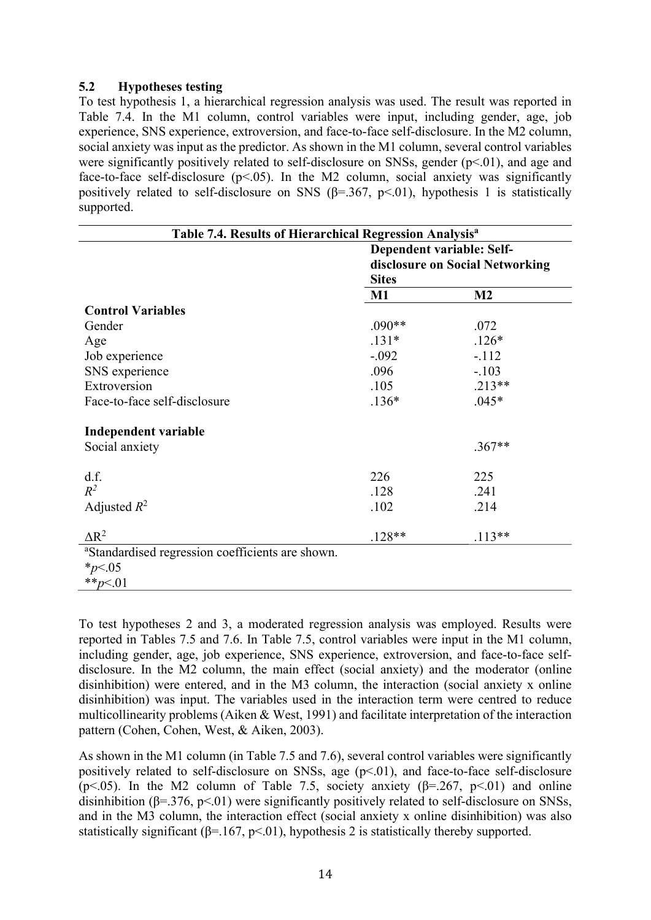### 5.2 Hypotheses testing

To test hypothesis 1, a hierarchical regression analysis was used. The result was reported in Table 7.4. In the M1 column, control variables were input, including gender, age, job experience, SNS experience, extroversion, and face-to-face self-disclosure. In the M2 column, social anxiety was input as the predictor. As shown in the M1 column, several control variables were significantly positively related to self-disclosure on SNSs, gender (p<.01), and age and face-to-face self-disclosure  $(p<0.05)$ . In the M2 column, social anxiety was significantly positively related to self-disclosure on SNS ( $\beta$ =.367, p<.01), hypothesis 1 is statistically supported.

| Table 7.4. Results of Hierarchical Regression Analysis <sup>a</sup> |                                                 |                |  |  |  |  |
|---------------------------------------------------------------------|-------------------------------------------------|----------------|--|--|--|--|
|                                                                     | Dependent variable: Self-                       |                |  |  |  |  |
|                                                                     | disclosure on Social Networking<br><b>Sites</b> |                |  |  |  |  |
|                                                                     |                                                 |                |  |  |  |  |
|                                                                     | $\mathbf{M}1$                                   | M <sub>2</sub> |  |  |  |  |
| <b>Control Variables</b>                                            |                                                 |                |  |  |  |  |
| Gender                                                              | $.090**$                                        | .072           |  |  |  |  |
| Age                                                                 | $.131*$                                         | $.126*$        |  |  |  |  |
| Job experience                                                      | $-.092$                                         | $-.112$        |  |  |  |  |
| SNS experience                                                      | .096                                            | $-.103$        |  |  |  |  |
| Extroversion                                                        | .105                                            | $.213**$       |  |  |  |  |
| Face-to-face self-disclosure                                        | $.136*$                                         | $.045*$        |  |  |  |  |
| Independent variable                                                |                                                 |                |  |  |  |  |
| Social anxiety                                                      |                                                 | $.367**$       |  |  |  |  |
| d.f.                                                                | 226                                             | 225            |  |  |  |  |
| $R^2$                                                               | .128                                            | .241           |  |  |  |  |
| Adjusted $R^2$                                                      | .102                                            | .214           |  |  |  |  |
| $\Delta R^2$                                                        | $.128**$                                        | $.113**$       |  |  |  |  |
| <sup>a</sup> Standardised regression coefficients are shown.        |                                                 |                |  |  |  |  |
| $*_{p<.05}$                                                         |                                                 |                |  |  |  |  |
| ** $p<.01$                                                          |                                                 |                |  |  |  |  |

To test hypotheses 2 and 3, a moderated regression analysis was employed. Results were reported in Tables 7.5 and 7.6. In Table 7.5, control variables were input in the M1 column, including gender, age, job experience, SNS experience, extroversion, and face-to-face selfdisclosure. In the M2 column, the main effect (social anxiety) and the moderator (online disinhibition) were entered, and in the M3 column, the interaction (social anxiety x online disinhibition) was input. The variables used in the interaction term were centred to reduce multicollinearity problems (Aiken & West, 1991) and facilitate interpretation of the interaction pattern (Cohen, Cohen, West, & Aiken, 2003).

As shown in the M1 column (in Table 7.5 and 7.6), several control variables were significantly positively related to self-disclosure on SNSs, age (p<.01), and face-to-face self-disclosure (p <.05). In the M2 column of Table 7.5, society anxiety ( $\beta$ =.267, p <.01) and online disinhibition ( $\beta = 376$ ,  $p < 01$ ) were significantly positively related to self-disclosure on SNSs, and in the M3 column, the interaction effect (social anxiety x online disinhibition) was also statistically significant ( $\beta$ =.167, p<.01), hypothesis 2 is statistically thereby supported.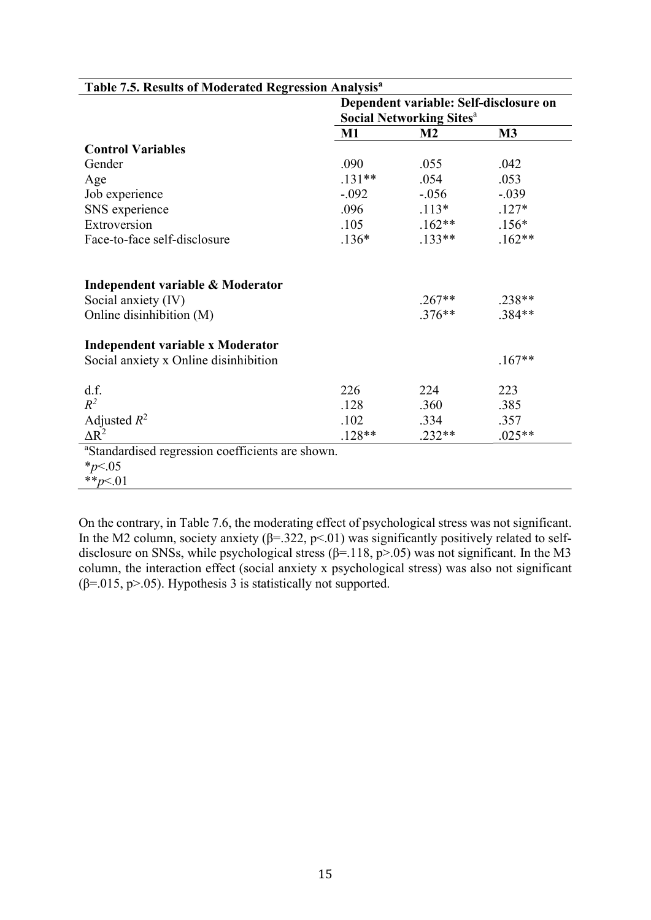|                                                                                     | Dependent variable: Self-disclosure on     |                      |                      |  |
|-------------------------------------------------------------------------------------|--------------------------------------------|----------------------|----------------------|--|
|                                                                                     | <b>Social Networking Sites<sup>a</sup></b> |                      |                      |  |
|                                                                                     | $M1$                                       | M <sub>2</sub>       | M3                   |  |
| <b>Control Variables</b>                                                            |                                            |                      |                      |  |
| Gender                                                                              | .090                                       | .055                 | .042                 |  |
| Age                                                                                 | $.131**$                                   | .054                 | .053                 |  |
| Job experience                                                                      | $-.092$                                    | $-.056$              | $-.039$              |  |
| SNS experience                                                                      | .096                                       | $.113*$              | $.127*$              |  |
| Extroversion                                                                        | .105                                       | $.162**$             | $.156*$              |  |
| Face-to-face self-disclosure                                                        | $.136*$                                    | $.133**$             | $.162**$             |  |
| Independent variable & Moderator<br>Social anxiety (IV)<br>Online disinhibition (M) |                                            | $.267**$<br>$.376**$ | $.238**$<br>$.384**$ |  |
| Independent variable x Moderator<br>Social anxiety x Online disinhibition           |                                            |                      | $.167**$             |  |
| d.f.                                                                                | 226                                        | 224                  | 223                  |  |
| $R^2$                                                                               | .128                                       | .360                 | .385                 |  |
| Adjusted $R^2$                                                                      | .102                                       | .334                 | .357                 |  |
| $\Delta R^2$                                                                        | $.128**$                                   | $.232**$             | $.025**$             |  |
| <sup>a</sup> Standardised regression coefficients are shown.                        |                                            |                      |                      |  |
| $*_{p<.05}$                                                                         |                                            |                      |                      |  |
| ** $p<.01$                                                                          |                                            |                      |                      |  |

### Table 7.5. Results of Moderated Regression Analysis<sup>a</sup>

On the contrary, in Table 7.6, the moderating effect of psychological stress was not significant. In the M2 column, society anxiety ( $\beta$ =.322, p<.01) was significantly positively related to selfdisclosure on SNSs, while psychological stress ( $\beta$ =.118, p>.05) was not significant. In the M3 column, the interaction effect (social anxiety x psychological stress) was also not significant ( $\beta$ =.015, p>.05). Hypothesis 3 is statistically not supported.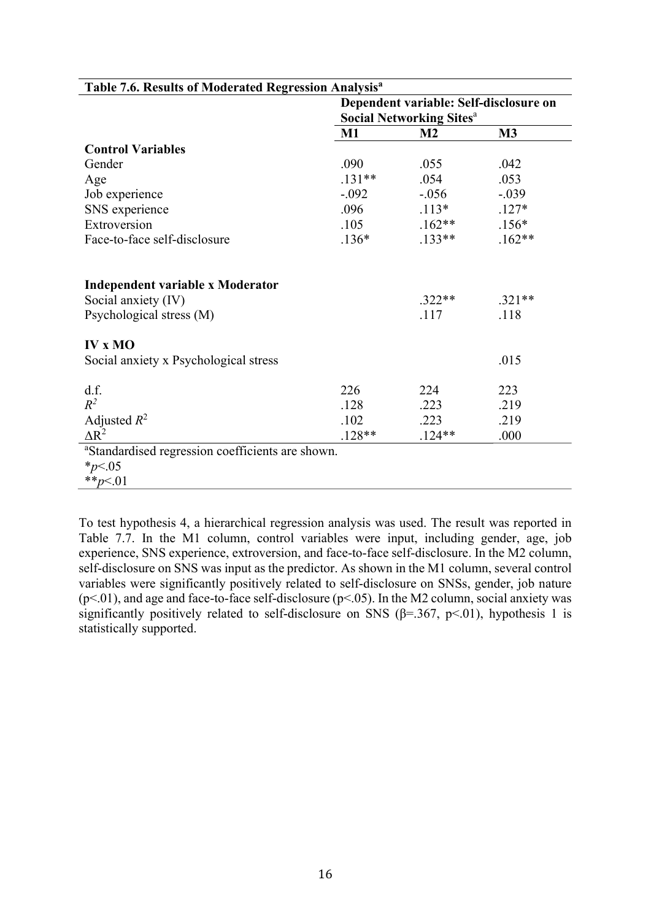|                                                                                     | Dependent variable: Self-disclosure on |                  |                  |  |
|-------------------------------------------------------------------------------------|----------------------------------------|------------------|------------------|--|
|                                                                                     | <b>Social Networking Sitesa</b>        |                  |                  |  |
|                                                                                     | $M1$                                   | M <sub>2</sub>   | M3               |  |
| <b>Control Variables</b>                                                            |                                        |                  |                  |  |
| Gender                                                                              | .090                                   | .055             | .042             |  |
| Age                                                                                 | $.131**$                               | .054             | .053             |  |
| Job experience                                                                      | $-.092$                                | $-.056$          | $-.039$          |  |
| SNS experience                                                                      | .096                                   | $.113*$          | $.127*$          |  |
| Extroversion                                                                        | .105                                   | $.162**$         | $.156*$          |  |
| Face-to-face self-disclosure                                                        | $.136*$                                | $.133**$         | $.162**$         |  |
| Independent variable x Moderator<br>Social anxiety (IV)<br>Psychological stress (M) |                                        | $.322**$<br>.117 | $.321**$<br>.118 |  |
| <b>IV x MO</b>                                                                      |                                        |                  | .015             |  |
| Social anxiety x Psychological stress                                               |                                        |                  |                  |  |
| d.f.                                                                                | 226                                    | 224              | 223              |  |
| $R^2$                                                                               | .128                                   | .223             | .219             |  |
| Adjusted $R^2$                                                                      | .102                                   | .223             | .219             |  |
| $\Delta R^2$                                                                        | $.128**$                               | $.124**$         | .000             |  |
| <sup>a</sup> Standardised regression coefficients are shown.                        |                                        |                  |                  |  |
| $*_{p<.05}$                                                                         |                                        |                  |                  |  |
| ** $p<.01$                                                                          |                                        |                  |                  |  |

Table 7.6. Results of Moderated Regression Analysis<sup>a</sup>

To test hypothesis 4, a hierarchical regression analysis was used. The result was reported in Table 7.7. In the M1 column, control variables were input, including gender, age, job experience, SNS experience, extroversion, and face-to-face self-disclosure. In the M2 column, self-disclosure on SNS was input as the predictor. As shown in the M1 column, several control variables were significantly positively related to self-disclosure on SNSs, gender, job nature  $(p<.01)$ , and age and face-to-face self-disclosure  $(p<.05)$ . In the M2 column, social anxiety was significantly positively related to self-disclosure on SNS ( $\beta$ =.367, p<.01), hypothesis 1 is statistically supported.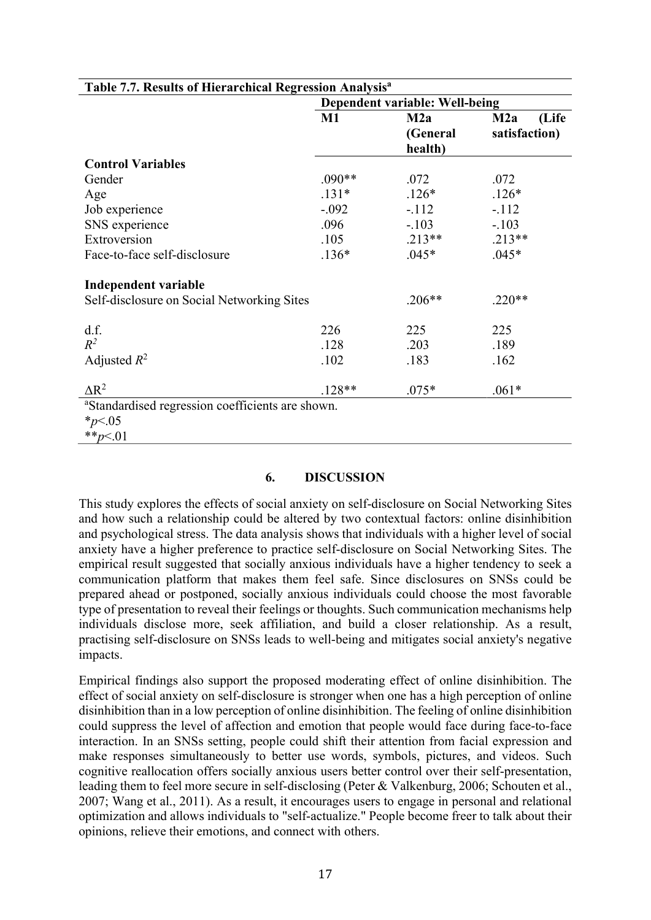| Table 7.7. Results of Hierarchical Regression Analysis <sup>a</sup> |                                |                            |                               |  |  |  |  |
|---------------------------------------------------------------------|--------------------------------|----------------------------|-------------------------------|--|--|--|--|
|                                                                     | Dependent variable: Well-being |                            |                               |  |  |  |  |
|                                                                     | $M1$                           | M2a<br>(General<br>health) | (Life<br>M2a<br>satisfaction) |  |  |  |  |
| <b>Control Variables</b>                                            |                                |                            |                               |  |  |  |  |
| Gender                                                              | $.090**$                       | .072                       | .072                          |  |  |  |  |
| Age                                                                 | $.131*$                        | $.126*$                    | $.126*$                       |  |  |  |  |
| Job experience                                                      | $-.092$                        | $-.112$                    | $-112$                        |  |  |  |  |
| SNS experience                                                      | .096                           | $-.103$                    | $-.103$                       |  |  |  |  |
| Extroversion                                                        | .105                           | $.213**$                   | $.213**$                      |  |  |  |  |
| Face-to-face self-disclosure                                        | $.136*$                        | $.045*$                    | $.045*$                       |  |  |  |  |
| Independent variable                                                |                                |                            |                               |  |  |  |  |
| Self-disclosure on Social Networking Sites                          |                                | $.206**$                   | $.220**$                      |  |  |  |  |
| d.f.                                                                | 226                            | 225                        | 225                           |  |  |  |  |
| $R^2$                                                               | .128                           | .203                       | .189                          |  |  |  |  |
| Adjusted $R^2$                                                      | .102                           | .183                       | .162                          |  |  |  |  |
| $\Delta R^2$                                                        | $.128**$                       | $.075*$                    | $.061*$                       |  |  |  |  |
| <sup>a</sup> Standardised regression coefficients are shown.        |                                |                            |                               |  |  |  |  |
| $*_{p<.05}$                                                         |                                |                            |                               |  |  |  |  |
| ** $p<.01$                                                          |                                |                            |                               |  |  |  |  |

### 6. DISCUSSION

This study explores the effects of social anxiety on self-disclosure on Social Networking Sites and how such a relationship could be altered by two contextual factors: online disinhibition and psychological stress. The data analysis shows that individuals with a higher level of social anxiety have a higher preference to practice self-disclosure on Social Networking Sites. The empirical result suggested that socially anxious individuals have a higher tendency to seek a communication platform that makes them feel safe. Since disclosures on SNSs could be prepared ahead or postponed, socially anxious individuals could choose the most favorable type of presentation to reveal their feelings or thoughts. Such communication mechanisms help individuals disclose more, seek affiliation, and build a closer relationship. As a result, practising self-disclosure on SNSs leads to well-being and mitigates social anxiety's negative impacts.

Empirical findings also support the proposed moderating effect of online disinhibition. The effect of social anxiety on self-disclosure is stronger when one has a high perception of online disinhibition than in a low perception of online disinhibition. The feeling of online disinhibition could suppress the level of affection and emotion that people would face during face-to-face interaction. In an SNSs setting, people could shift their attention from facial expression and make responses simultaneously to better use words, symbols, pictures, and videos. Such cognitive reallocation offers socially anxious users better control over their self-presentation, leading them to feel more secure in self-disclosing (Peter & Valkenburg, 2006; Schouten et al., 2007; Wang et al., 2011). As a result, it encourages users to engage in personal and relational optimization and allows individuals to "self-actualize." People become freer to talk about their opinions, relieve their emotions, and connect with others.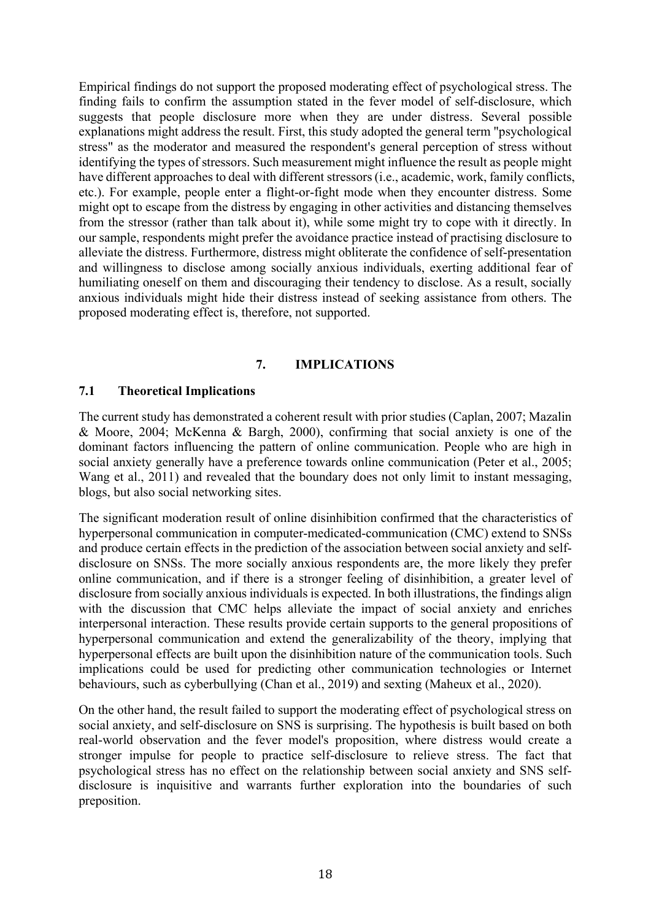Empirical findings do not support the proposed moderating effect of psychological stress. The finding fails to confirm the assumption stated in the fever model of self-disclosure, which suggests that people disclosure more when they are under distress. Several possible explanations might address the result. First, this study adopted the general term "psychological stress" as the moderator and measured the respondent's general perception of stress without identifying the types of stressors. Such measurement might influence the result as people might have different approaches to deal with different stressors (i.e., academic, work, family conflicts, etc.). For example, people enter a flight-or-fight mode when they encounter distress. Some might opt to escape from the distress by engaging in other activities and distancing themselves from the stressor (rather than talk about it), while some might try to cope with it directly. In our sample, respondents might prefer the avoidance practice instead of practising disclosure to alleviate the distress. Furthermore, distress might obliterate the confidence of self-presentation and willingness to disclose among socially anxious individuals, exerting additional fear of humiliating oneself on them and discouraging their tendency to disclose. As a result, socially anxious individuals might hide their distress instead of seeking assistance from others. The proposed moderating effect is, therefore, not supported.

### 7. IMPLICATIONS

### 7.1 Theoretical Implications

The current study has demonstrated a coherent result with prior studies (Caplan, 2007; Mazalin & Moore, 2004; McKenna & Bargh, 2000), confirming that social anxiety is one of the dominant factors influencing the pattern of online communication. People who are high in social anxiety generally have a preference towards online communication (Peter et al., 2005; Wang et al., 2011) and revealed that the boundary does not only limit to instant messaging, blogs, but also social networking sites.

The significant moderation result of online disinhibition confirmed that the characteristics of hyperpersonal communication in computer-medicated-communication (CMC) extend to SNSs and produce certain effects in the prediction of the association between social anxiety and selfdisclosure on SNSs. The more socially anxious respondents are, the more likely they prefer online communication, and if there is a stronger feeling of disinhibition, a greater level of disclosure from socially anxious individuals is expected. In both illustrations, the findings align with the discussion that CMC helps alleviate the impact of social anxiety and enriches interpersonal interaction. These results provide certain supports to the general propositions of hyperpersonal communication and extend the generalizability of the theory, implying that hyperpersonal effects are built upon the disinhibition nature of the communication tools. Such implications could be used for predicting other communication technologies or Internet behaviours, such as cyberbullying (Chan et al., 2019) and sexting (Maheux et al., 2020).

On the other hand, the result failed to support the moderating effect of psychological stress on social anxiety, and self-disclosure on SNS is surprising. The hypothesis is built based on both real-world observation and the fever model's proposition, where distress would create a stronger impulse for people to practice self-disclosure to relieve stress. The fact that psychological stress has no effect on the relationship between social anxiety and SNS selfdisclosure is inquisitive and warrants further exploration into the boundaries of such preposition.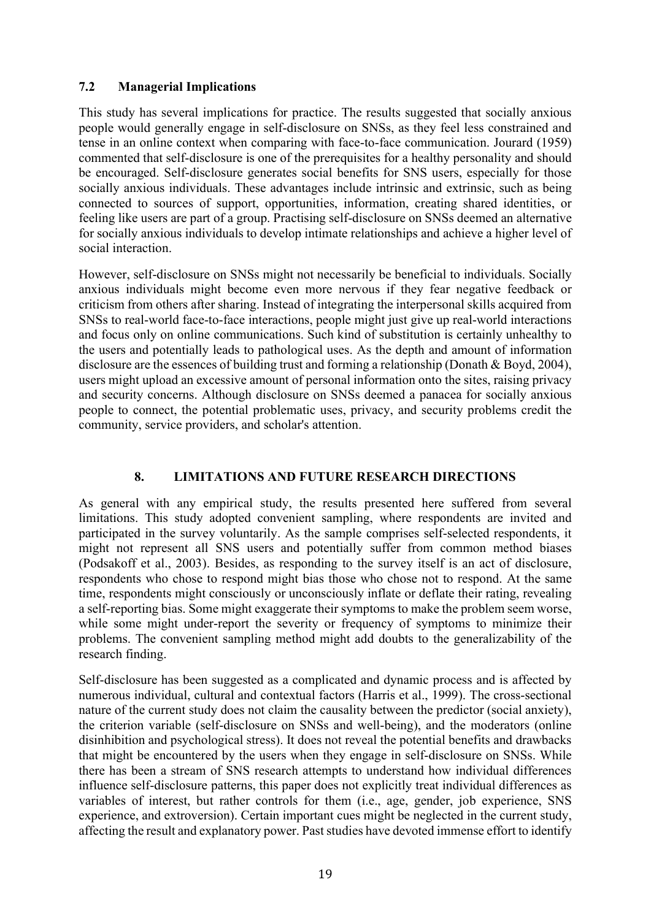# 7.2 Managerial Implications

This study has several implications for practice. The results suggested that socially anxious people would generally engage in self-disclosure on SNSs, as they feel less constrained and tense in an online context when comparing with face-to-face communication. Jourard (1959) commented that self-disclosure is one of the prerequisites for a healthy personality and should be encouraged. Self-disclosure generates social benefits for SNS users, especially for those socially anxious individuals. These advantages include intrinsic and extrinsic, such as being connected to sources of support, opportunities, information, creating shared identities, or feeling like users are part of a group. Practising self-disclosure on SNSs deemed an alternative for socially anxious individuals to develop intimate relationships and achieve a higher level of social interaction.

However, self-disclosure on SNSs might not necessarily be beneficial to individuals. Socially anxious individuals might become even more nervous if they fear negative feedback or criticism from others after sharing. Instead of integrating the interpersonal skills acquired from SNSs to real-world face-to-face interactions, people might just give up real-world interactions and focus only on online communications. Such kind of substitution is certainly unhealthy to the users and potentially leads to pathological uses. As the depth and amount of information disclosure are the essences of building trust and forming a relationship (Donath & Boyd, 2004), users might upload an excessive amount of personal information onto the sites, raising privacy and security concerns. Although disclosure on SNSs deemed a panacea for socially anxious people to connect, the potential problematic uses, privacy, and security problems credit the community, service providers, and scholar's attention.

# 8. LIMITATIONS AND FUTURE RESEARCH DIRECTIONS

As general with any empirical study, the results presented here suffered from several limitations. This study adopted convenient sampling, where respondents are invited and participated in the survey voluntarily. As the sample comprises self-selected respondents, it might not represent all SNS users and potentially suffer from common method biases (Podsakoff et al., 2003). Besides, as responding to the survey itself is an act of disclosure, respondents who chose to respond might bias those who chose not to respond. At the same time, respondents might consciously or unconsciously inflate or deflate their rating, revealing a self-reporting bias. Some might exaggerate their symptoms to make the problem seem worse, while some might under-report the severity or frequency of symptoms to minimize their problems. The convenient sampling method might add doubts to the generalizability of the research finding.

Self-disclosure has been suggested as a complicated and dynamic process and is affected by numerous individual, cultural and contextual factors (Harris et al., 1999). The cross-sectional nature of the current study does not claim the causality between the predictor (social anxiety), the criterion variable (self-disclosure on SNSs and well-being), and the moderators (online disinhibition and psychological stress). It does not reveal the potential benefits and drawbacks that might be encountered by the users when they engage in self-disclosure on SNSs. While there has been a stream of SNS research attempts to understand how individual differences influence self-disclosure patterns, this paper does not explicitly treat individual differences as variables of interest, but rather controls for them (i.e., age, gender, job experience, SNS experience, and extroversion). Certain important cues might be neglected in the current study, affecting the result and explanatory power. Past studies have devoted immense effort to identify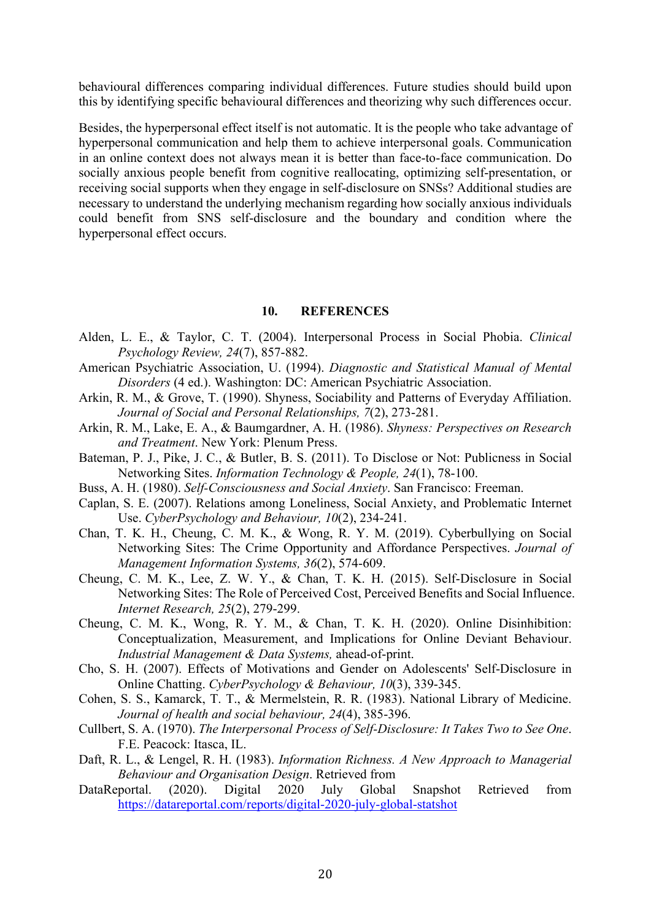behavioural differences comparing individual differences. Future studies should build upon this by identifying specific behavioural differences and theorizing why such differences occur.

Besides, the hyperpersonal effect itself is not automatic. It is the people who take advantage of hyperpersonal communication and help them to achieve interpersonal goals. Communication in an online context does not always mean it is better than face-to-face communication. Do socially anxious people benefit from cognitive reallocating, optimizing self-presentation, or receiving social supports when they engage in self-disclosure on SNSs? Additional studies are necessary to understand the underlying mechanism regarding how socially anxious individuals could benefit from SNS self-disclosure and the boundary and condition where the hyperpersonal effect occurs.

#### 10. REFERENCES

- Alden, L. E., & Taylor, C. T. (2004). Interpersonal Process in Social Phobia. Clinical Psychology Review, 24(7), 857-882.
- American Psychiatric Association, U. (1994). Diagnostic and Statistical Manual of Mental Disorders (4 ed.). Washington: DC: American Psychiatric Association.
- Arkin, R. M., & Grove, T. (1990). Shyness, Sociability and Patterns of Everyday Affiliation. Journal of Social and Personal Relationships, 7(2), 273-281.
- Arkin, R. M., Lake, E. A., & Baumgardner, A. H. (1986). Shyness: Perspectives on Research and Treatment. New York: Plenum Press.
- Bateman, P. J., Pike, J. C., & Butler, B. S. (2011). To Disclose or Not: Publicness in Social Networking Sites. Information Technology & People, 24(1), 78-100.
- Buss, A. H. (1980). Self-Consciousness and Social Anxiety. San Francisco: Freeman.
- Caplan, S. E. (2007). Relations among Loneliness, Social Anxiety, and Problematic Internet Use. CyberPsychology and Behaviour, 10(2), 234-241.
- Chan, T. K. H., Cheung, C. M. K., & Wong, R. Y. M. (2019). Cyberbullying on Social Networking Sites: The Crime Opportunity and Affordance Perspectives. Journal of Management Information Systems, 36(2), 574-609.
- Cheung, C. M. K., Lee, Z. W. Y., & Chan, T. K. H. (2015). Self-Disclosure in Social Networking Sites: The Role of Perceived Cost, Perceived Benefits and Social Influence. Internet Research, 25(2), 279-299.
- Cheung, C. M. K., Wong, R. Y. M., & Chan, T. K. H. (2020). Online Disinhibition: Conceptualization, Measurement, and Implications for Online Deviant Behaviour. Industrial Management & Data Systems, ahead-of-print.
- Cho, S. H. (2007). Effects of Motivations and Gender on Adolescents' Self-Disclosure in Online Chatting. CyberPsychology & Behaviour, 10(3), 339-345.
- Cohen, S. S., Kamarck, T. T., & Mermelstein, R. R. (1983). National Library of Medicine. Journal of health and social behaviour, 24(4), 385-396.
- Cullbert, S. A. (1970). The Interpersonal Process of Self-Disclosure: It Takes Two to See One. F.E. Peacock: Itasca, IL.
- Daft, R. L., & Lengel, R. H. (1983). Information Richness. A New Approach to Managerial Behaviour and Organisation Design. Retrieved from
- DataReportal. (2020). Digital 2020 July Global Snapshot Retrieved from https://datareportal.com/reports/digital-2020-july-global-statshot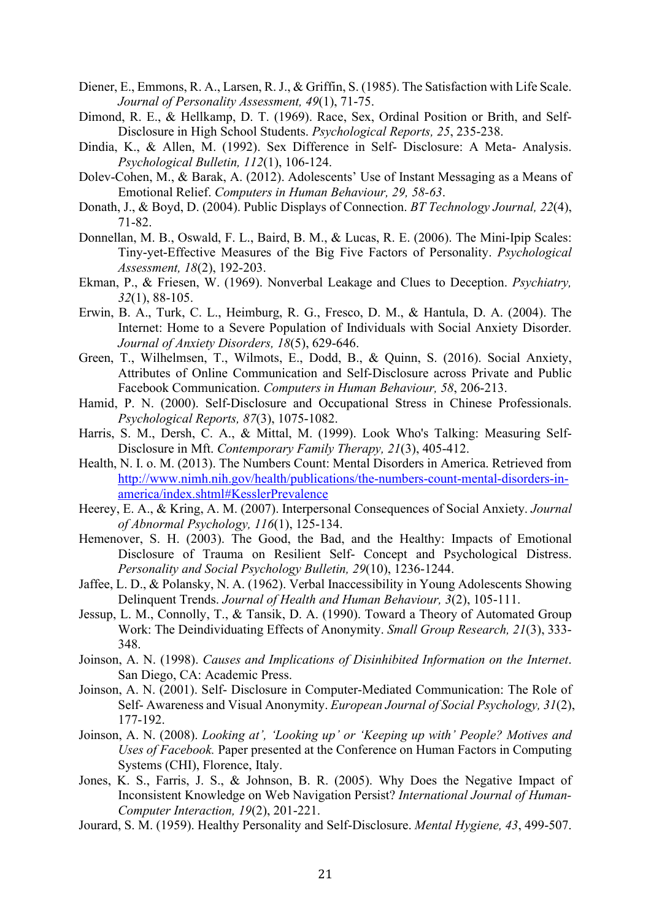- Diener, E., Emmons, R. A., Larsen, R. J., & Griffin, S. (1985). The Satisfaction with Life Scale. Journal of Personality Assessment, 49(1), 71-75.
- Dimond, R. E., & Hellkamp, D. T. (1969). Race, Sex, Ordinal Position or Brith, and Self-Disclosure in High School Students. Psychological Reports, 25, 235-238.
- Dindia, K., & Allen, M. (1992). Sex Difference in Self- Disclosure: A Meta- Analysis. Psychological Bulletin, 112(1), 106-124.
- Dolev-Cohen, M., & Barak, A. (2012). Adolescents' Use of Instant Messaging as a Means of Emotional Relief. Computers in Human Behaviour, 29, 58-63.
- Donath, J., & Boyd, D. (2004). Public Displays of Connection. BT Technology Journal, 22(4), 71-82.
- Donnellan, M. B., Oswald, F. L., Baird, B. M., & Lucas, R. E. (2006). The Mini-Ipip Scales: Tiny-yet-Effective Measures of the Big Five Factors of Personality. Psychological Assessment, 18(2), 192-203.
- Ekman, P., & Friesen, W. (1969). Nonverbal Leakage and Clues to Deception. Psychiatry, 32(1), 88-105.
- Erwin, B. A., Turk, C. L., Heimburg, R. G., Fresco, D. M., & Hantula, D. A. (2004). The Internet: Home to a Severe Population of Individuals with Social Anxiety Disorder. Journal of Anxiety Disorders, 18(5), 629-646.
- Green, T., Wilhelmsen, T., Wilmots, E., Dodd, B., & Quinn, S. (2016). Social Anxiety, Attributes of Online Communication and Self-Disclosure across Private and Public Facebook Communication. Computers in Human Behaviour, 58, 206-213.
- Hamid, P. N. (2000). Self-Disclosure and Occupational Stress in Chinese Professionals. Psychological Reports, 87(3), 1075-1082.
- Harris, S. M., Dersh, C. A., & Mittal, M. (1999). Look Who's Talking: Measuring Self-Disclosure in Mft. Contemporary Family Therapy, 21(3), 405-412.
- Health, N. I. o. M. (2013). The Numbers Count: Mental Disorders in America. Retrieved from http://www.nimh.nih.gov/health/publications/the-numbers-count-mental-disorders-inamerica/index.shtml#KesslerPrevalence
- Heerey, E. A., & Kring, A. M. (2007). Interpersonal Consequences of Social Anxiety. Journal of Abnormal Psychology, 116(1), 125-134.
- Hemenover, S. H. (2003). The Good, the Bad, and the Healthy: Impacts of Emotional Disclosure of Trauma on Resilient Self- Concept and Psychological Distress. Personality and Social Psychology Bulletin, 29(10), 1236-1244.
- Jaffee, L. D., & Polansky, N. A. (1962). Verbal Inaccessibility in Young Adolescents Showing Delinquent Trends. Journal of Health and Human Behaviour, 3(2), 105-111.
- Jessup, L. M., Connolly, T., & Tansik, D. A. (1990). Toward a Theory of Automated Group Work: The Deindividuating Effects of Anonymity. Small Group Research, 21(3), 333- 348.
- Joinson, A. N. (1998). Causes and Implications of Disinhibited Information on the Internet. San Diego, CA: Academic Press.
- Joinson, A. N. (2001). Self- Disclosure in Computer-Mediated Communication: The Role of Self- Awareness and Visual Anonymity. European Journal of Social Psychology, 31(2), 177-192.
- Joinson, A. N. (2008). Looking at', 'Looking up' or 'Keeping up with' People? Motives and Uses of Facebook. Paper presented at the Conference on Human Factors in Computing Systems (CHI), Florence, Italy.
- Jones, K. S., Farris, J. S., & Johnson, B. R. (2005). Why Does the Negative Impact of Inconsistent Knowledge on Web Navigation Persist? International Journal of Human-Computer Interaction, 19(2), 201-221.
- Jourard, S. M. (1959). Healthy Personality and Self-Disclosure. Mental Hygiene, 43, 499-507.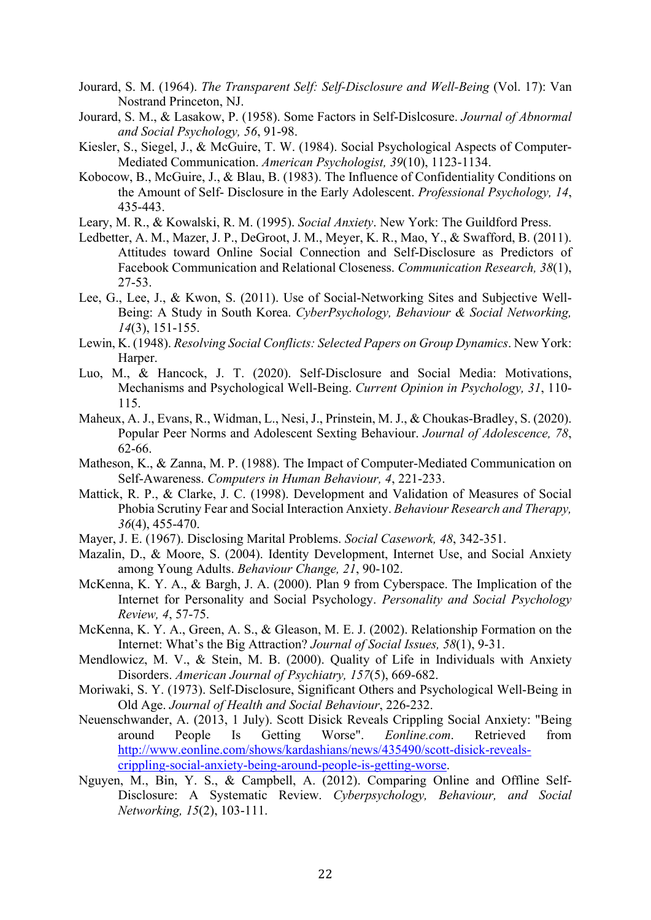- Jourard, S. M. (1964). The Transparent Self: Self-Disclosure and Well-Being (Vol. 17): Van Nostrand Princeton, NJ.
- Jourard, S. M., & Lasakow, P. (1958). Some Factors in Self-Dislcosure. Journal of Abnormal and Social Psychology, 56, 91-98.
- Kiesler, S., Siegel, J., & McGuire, T. W. (1984). Social Psychological Aspects of Computer-Mediated Communication. American Psychologist, 39(10), 1123-1134.
- Kobocow, B., McGuire, J., & Blau, B. (1983). The Influence of Confidentiality Conditions on the Amount of Self- Disclosure in the Early Adolescent. Professional Psychology, 14, 435-443.
- Leary, M. R., & Kowalski, R. M. (1995). Social Anxiety. New York: The Guildford Press.
- Ledbetter, A. M., Mazer, J. P., DeGroot, J. M., Meyer, K. R., Mao, Y., & Swafford, B. (2011). Attitudes toward Online Social Connection and Self-Disclosure as Predictors of Facebook Communication and Relational Closeness. Communication Research, 38(1), 27-53.
- Lee, G., Lee, J., & Kwon, S. (2011). Use of Social-Networking Sites and Subjective Well-Being: A Study in South Korea. CyberPsychology, Behaviour & Social Networking, 14(3), 151-155.
- Lewin, K. (1948). Resolving Social Conflicts: Selected Papers on Group Dynamics. New York: Harper.
- Luo, M., & Hancock, J. T. (2020). Self-Disclosure and Social Media: Motivations, Mechanisms and Psychological Well-Being. Current Opinion in Psychology, 31, 110- 115.
- Maheux, A. J., Evans, R., Widman, L., Nesi, J., Prinstein, M. J., & Choukas-Bradley, S. (2020). Popular Peer Norms and Adolescent Sexting Behaviour. Journal of Adolescence, 78, 62-66.
- Matheson, K., & Zanna, M. P. (1988). The Impact of Computer-Mediated Communication on Self-Awareness. Computers in Human Behaviour, 4, 221-233.
- Mattick, R. P., & Clarke, J. C. (1998). Development and Validation of Measures of Social Phobia Scrutiny Fear and Social Interaction Anxiety. Behaviour Research and Therapy, 36(4), 455-470.
- Mayer, J. E. (1967). Disclosing Marital Problems. Social Casework, 48, 342-351.
- Mazalin, D., & Moore, S. (2004). Identity Development, Internet Use, and Social Anxiety among Young Adults. Behaviour Change, 21, 90-102.
- McKenna, K. Y. A., & Bargh, J. A. (2000). Plan 9 from Cyberspace. The Implication of the Internet for Personality and Social Psychology. Personality and Social Psychology Review, 4, 57-75.
- McKenna, K. Y. A., Green, A. S., & Gleason, M. E. J. (2002). Relationship Formation on the Internet: What's the Big Attraction? Journal of Social Issues, 58(1), 9-31.
- Mendlowicz, M. V., & Stein, M. B. (2000). Quality of Life in Individuals with Anxiety Disorders. American Journal of Psychiatry, 157(5), 669-682.
- Moriwaki, S. Y. (1973). Self-Disclosure, Significant Others and Psychological Well-Being in Old Age. Journal of Health and Social Behaviour, 226-232.
- Neuenschwander, A. (2013, 1 July). Scott Disick Reveals Crippling Social Anxiety: "Being around People Is Getting Worse". Eonline.com. Retrieved from http://www.eonline.com/shows/kardashians/news/435490/scott-disick-revealscrippling-social-anxiety-being-around-people-is-getting-worse.
- Nguyen, M., Bin, Y. S., & Campbell, A. (2012). Comparing Online and Offline Self-Disclosure: A Systematic Review. Cyberpsychology, Behaviour, and Social Networking, 15(2), 103-111.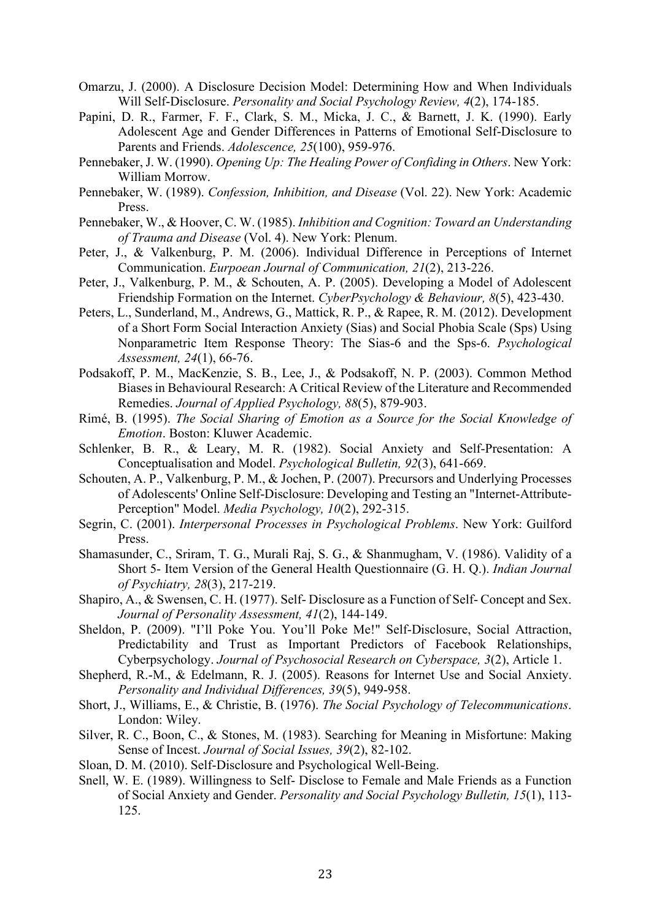- Omarzu, J. (2000). A Disclosure Decision Model: Determining How and When Individuals Will Self-Disclosure. Personality and Social Psychology Review, 4(2), 174-185.
- Papini, D. R., Farmer, F. F., Clark, S. M., Micka, J. C., & Barnett, J. K. (1990). Early Adolescent Age and Gender Differences in Patterns of Emotional Self-Disclosure to Parents and Friends. Adolescence, 25(100), 959-976.
- Pennebaker, J. W. (1990). Opening Up: The Healing Power of Confiding in Others. New York: William Morrow.
- Pennebaker, W. (1989). Confession, Inhibition, and Disease (Vol. 22). New York: Academic Press.
- Pennebaker, W., & Hoover, C. W. (1985). Inhibition and Cognition: Toward an Understanding of Trauma and Disease (Vol. 4). New York: Plenum.
- Peter, J., & Valkenburg, P. M. (2006). Individual Difference in Perceptions of Internet Communication. Eurpoean Journal of Communication, 21(2), 213-226.
- Peter, J., Valkenburg, P. M., & Schouten, A. P. (2005). Developing a Model of Adolescent Friendship Formation on the Internet. CyberPsychology & Behaviour, 8(5), 423-430.
- Peters, L., Sunderland, M., Andrews, G., Mattick, R. P., & Rapee, R. M. (2012). Development of a Short Form Social Interaction Anxiety (Sias) and Social Phobia Scale (Sps) Using Nonparametric Item Response Theory: The Sias-6 and the Sps-6. Psychological Assessment, 24(1), 66-76.
- Podsakoff, P. M., MacKenzie, S. B., Lee, J., & Podsakoff, N. P. (2003). Common Method Biases in Behavioural Research: A Critical Review of the Literature and Recommended Remedies. Journal of Applied Psychology, 88(5), 879-903.
- Rimé, B. (1995). The Social Sharing of Emotion as a Source for the Social Knowledge of Emotion. Boston: Kluwer Academic.
- Schlenker, B. R., & Leary, M. R. (1982). Social Anxiety and Self-Presentation: A Conceptualisation and Model. Psychological Bulletin, 92(3), 641-669.
- Schouten, A. P., Valkenburg, P. M., & Jochen, P. (2007). Precursors and Underlying Processes of Adolescents' Online Self-Disclosure: Developing and Testing an "Internet-Attribute-Perception" Model. Media Psychology, 10(2), 292-315.
- Segrin, C. (2001). Interpersonal Processes in Psychological Problems. New York: Guilford Press.
- Shamasunder, C., Sriram, T. G., Murali Raj, S. G., & Shanmugham, V. (1986). Validity of a Short 5- Item Version of the General Health Questionnaire (G. H. Q.). Indian Journal of Psychiatry, 28(3), 217-219.
- Shapiro, A., & Swensen, C. H. (1977). Self- Disclosure as a Function of Self- Concept and Sex. Journal of Personality Assessment, 41(2), 144-149.
- Sheldon, P. (2009). "I'll Poke You. You'll Poke Me!" Self-Disclosure, Social Attraction, Predictability and Trust as Important Predictors of Facebook Relationships, Cyberpsychology. Journal of Psychosocial Research on Cyberspace, 3(2), Article 1.
- Shepherd, R.-M., & Edelmann, R. J. (2005). Reasons for Internet Use and Social Anxiety. Personality and Individual Differences, 39(5), 949-958.
- Short, J., Williams, E., & Christie, B. (1976). The Social Psychology of Telecommunications. London: Wiley.
- Silver, R. C., Boon, C., & Stones, M. (1983). Searching for Meaning in Misfortune: Making Sense of Incest. Journal of Social Issues, 39(2), 82-102.
- Sloan, D. M. (2010). Self-Disclosure and Psychological Well-Being.
- Snell, W. E. (1989). Willingness to Self- Disclose to Female and Male Friends as a Function of Social Anxiety and Gender. Personality and Social Psychology Bulletin, 15(1), 113- 125.